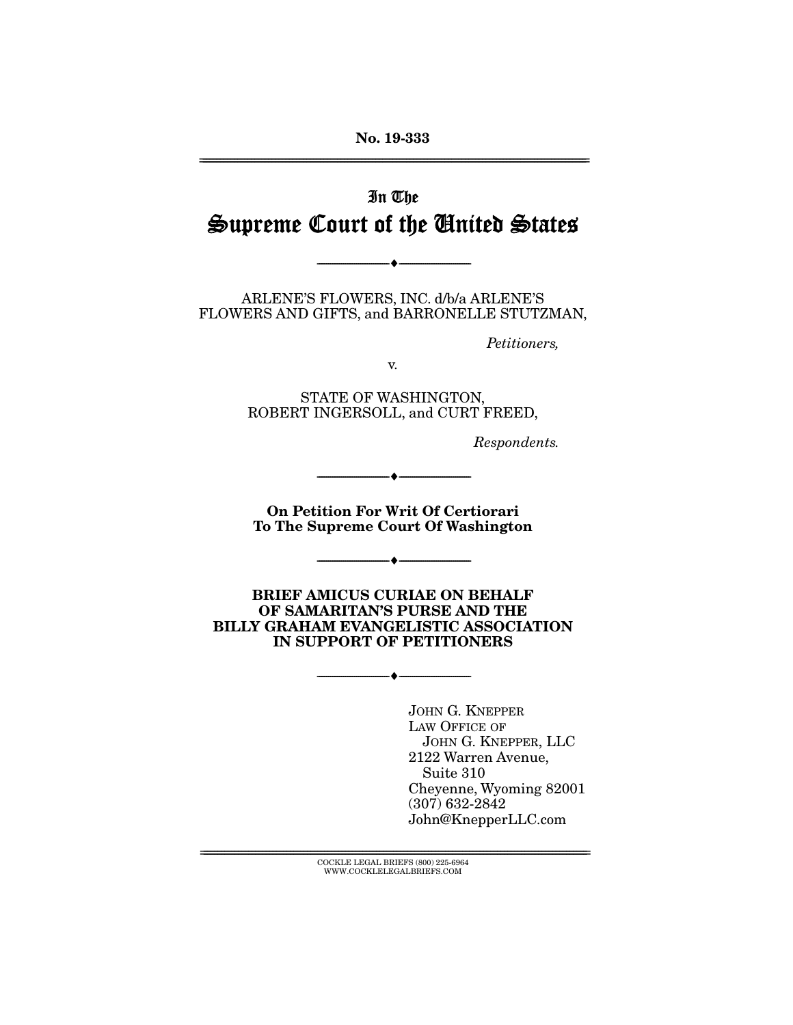No. 19-333 ================================================================================================================

# In The Supreme Court of the United States

 $- \bullet$  -

ARLENE'S FLOWERS, INC. d/b/a ARLENE'S FLOWERS AND GIFTS, and BARRONELLE STUTZMAN,

*Petitioners,* 

v.

STATE OF WASHINGTON, ROBERT INGERSOLL, and CURT FREED,

*Respondents.* 

On Petition For Writ Of Certiorari To The Supreme Court Of Washington

 $- \bullet -$ 

--------------------------------- ---------------------------------

BRIEF AMICUS CURIAE ON BEHALF OF SAMARITAN'S PURSE AND THE BILLY GRAHAM EVANGELISTIC ASSOCIATION IN SUPPORT OF PETITIONERS

--------------------------------- ---------------------------------

JOHN G. KNEPPER LAW OFFICE OF JOHN G. KNEPPER, LLC 2122 Warren Avenue, Suite 310 Cheyenne, Wyoming 82001 (307) 632-2842 John@KnepperLLC.com

 $\text{COCKLE LEGAL BRIEFS}$  (800) 225-6964 WWW.COCKLELEGALBRIEFS.COM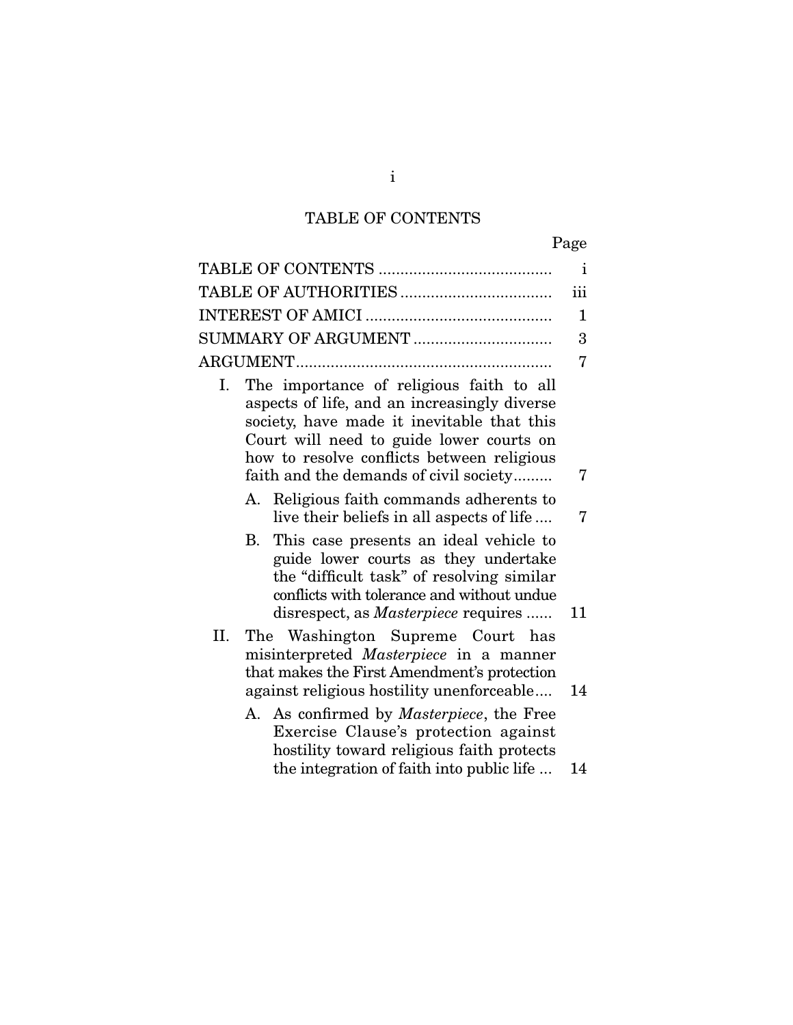# TABLE OF CONTENTS

|--|

| $\mathbf{i}$<br>iii<br>$\mathbf{1}$<br>3<br>7<br>The importance of religious faith to all<br>Ι.<br>aspects of life, and an increasingly diverse<br>society, have made it inevitable that this<br>Court will need to guide lower courts on<br>how to resolve conflicts between religious<br>faith and the demands of civil society<br>7<br>Religious faith commands adherents to<br>А.<br>live their beliefs in all aspects of life<br>7<br>This case presents an ideal vehicle to<br>B.<br>guide lower courts as they undertake<br>the "difficult task" of resolving similar<br>conflicts with tolerance and without undue<br>disrespect, as <i>Masterpiece</i> requires<br>11<br>II.<br>The Washington Supreme Court has<br>misinterpreted Masterpiece in a manner<br>that makes the First Amendment's protection<br>against religious hostility unenforceable<br>14<br>A. As confirmed by <i>Masterpiece</i> , the Free<br>Exercise Clause's protection against<br>hostility toward religious faith protects<br>the integration of faith into public life<br>14 |  |  |
|-------------------------------------------------------------------------------------------------------------------------------------------------------------------------------------------------------------------------------------------------------------------------------------------------------------------------------------------------------------------------------------------------------------------------------------------------------------------------------------------------------------------------------------------------------------------------------------------------------------------------------------------------------------------------------------------------------------------------------------------------------------------------------------------------------------------------------------------------------------------------------------------------------------------------------------------------------------------------------------------------------------------------------------------------------------------|--|--|
|                                                                                                                                                                                                                                                                                                                                                                                                                                                                                                                                                                                                                                                                                                                                                                                                                                                                                                                                                                                                                                                                   |  |  |
|                                                                                                                                                                                                                                                                                                                                                                                                                                                                                                                                                                                                                                                                                                                                                                                                                                                                                                                                                                                                                                                                   |  |  |
|                                                                                                                                                                                                                                                                                                                                                                                                                                                                                                                                                                                                                                                                                                                                                                                                                                                                                                                                                                                                                                                                   |  |  |
|                                                                                                                                                                                                                                                                                                                                                                                                                                                                                                                                                                                                                                                                                                                                                                                                                                                                                                                                                                                                                                                                   |  |  |
|                                                                                                                                                                                                                                                                                                                                                                                                                                                                                                                                                                                                                                                                                                                                                                                                                                                                                                                                                                                                                                                                   |  |  |
|                                                                                                                                                                                                                                                                                                                                                                                                                                                                                                                                                                                                                                                                                                                                                                                                                                                                                                                                                                                                                                                                   |  |  |
|                                                                                                                                                                                                                                                                                                                                                                                                                                                                                                                                                                                                                                                                                                                                                                                                                                                                                                                                                                                                                                                                   |  |  |
|                                                                                                                                                                                                                                                                                                                                                                                                                                                                                                                                                                                                                                                                                                                                                                                                                                                                                                                                                                                                                                                                   |  |  |
|                                                                                                                                                                                                                                                                                                                                                                                                                                                                                                                                                                                                                                                                                                                                                                                                                                                                                                                                                                                                                                                                   |  |  |
|                                                                                                                                                                                                                                                                                                                                                                                                                                                                                                                                                                                                                                                                                                                                                                                                                                                                                                                                                                                                                                                                   |  |  |
|                                                                                                                                                                                                                                                                                                                                                                                                                                                                                                                                                                                                                                                                                                                                                                                                                                                                                                                                                                                                                                                                   |  |  |

i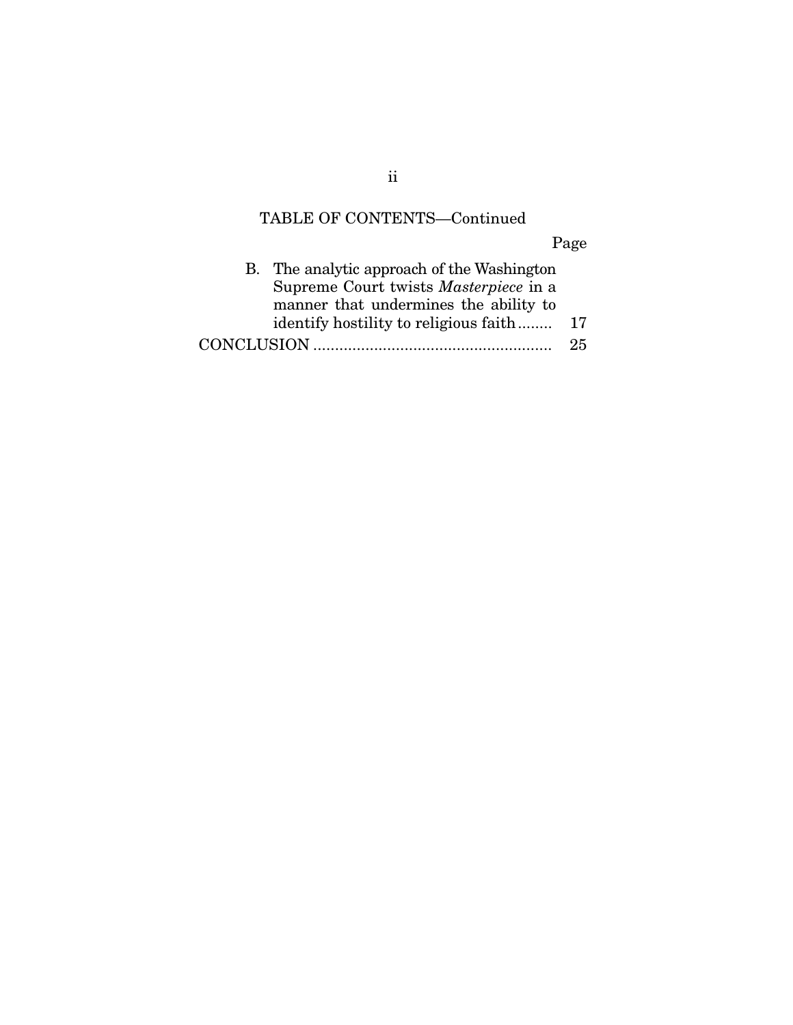# TABLE OF CONTENTS—Continued

Page

| B. The analytic approach of the Washington   |    |
|----------------------------------------------|----|
| Supreme Court twists <i>Masterpiece</i> in a |    |
| manner that undermines the ability to        |    |
| identify hostility to religious faith        | 17 |
|                                              | 25 |

ii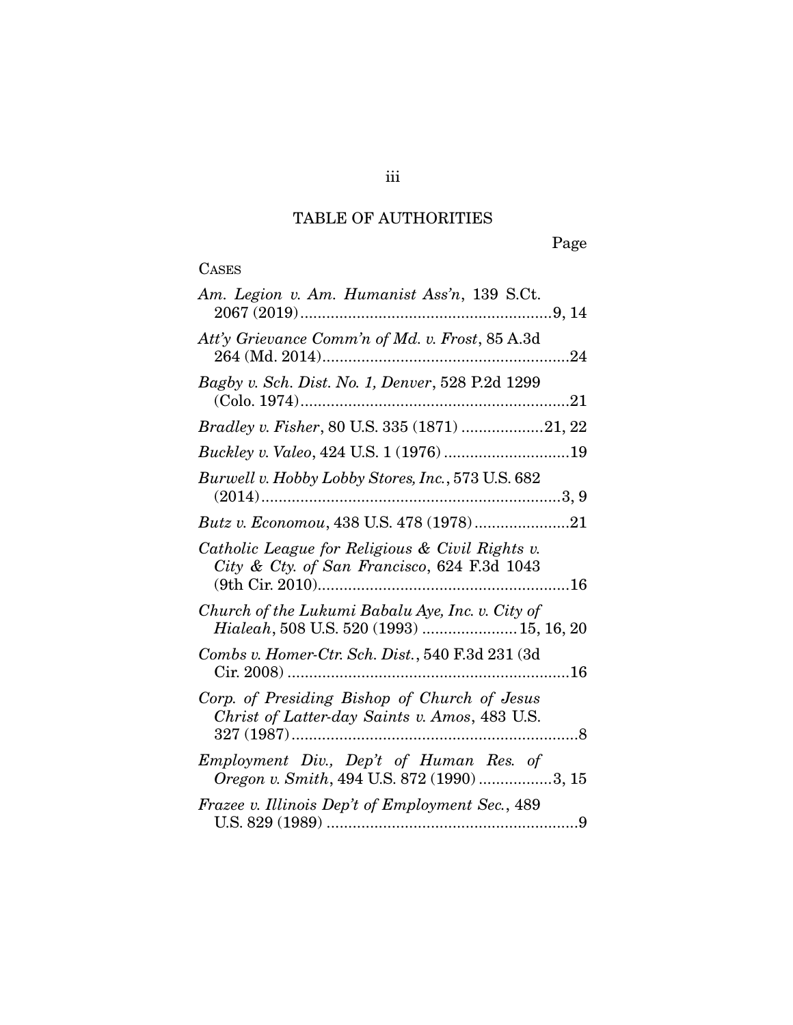## TABLE OF AUTHORITIES

# **CASES**

| Am. Legion v. Am. Humanist Ass'n, 139 S.Ct.                                                    |
|------------------------------------------------------------------------------------------------|
| Att'y Grievance Comm'n of Md. v. Frost, 85 A.3d<br>264 (Md. 2014)<br>24                        |
| Bagby v. Sch. Dist. No. 1, Denver, 528 P.2d 1299<br>$(Colo. 1974)$                             |
| Bradley v. Fisher, 80 U.S. 335 (1871) 21, 22                                                   |
| Buckley v. Valeo, 424 U.S. 1 (1976) 19                                                         |
| Burwell v. Hobby Lobby Stores, Inc., 573 U.S. 682                                              |
| Butz v. Economou, 438 U.S. 478 (1978)21                                                        |
| Catholic League for Religious & Civil Rights v.<br>City & Cty. of San Francisco, 624 F.3d 1043 |
| Church of the Lukumi Babalu Aye, Inc. v. City of<br>Hialeah, 508 U.S. 520 (1993)  15, 16, 20   |
| Combs v. Homer-Ctr. Sch. Dist., 540 F.3d 231 (3d)                                              |
| Corp. of Presiding Bishop of Church of Jesus<br>Christ of Latter-day Saints v. Amos, 483 U.S.  |
| Employment Div., Dep't of Human Res. of<br>Oregon v. Smith, 494 U.S. 872 (1990) 3, 15          |
| Frazee v. Illinois Dep't of Employment Sec., 489                                               |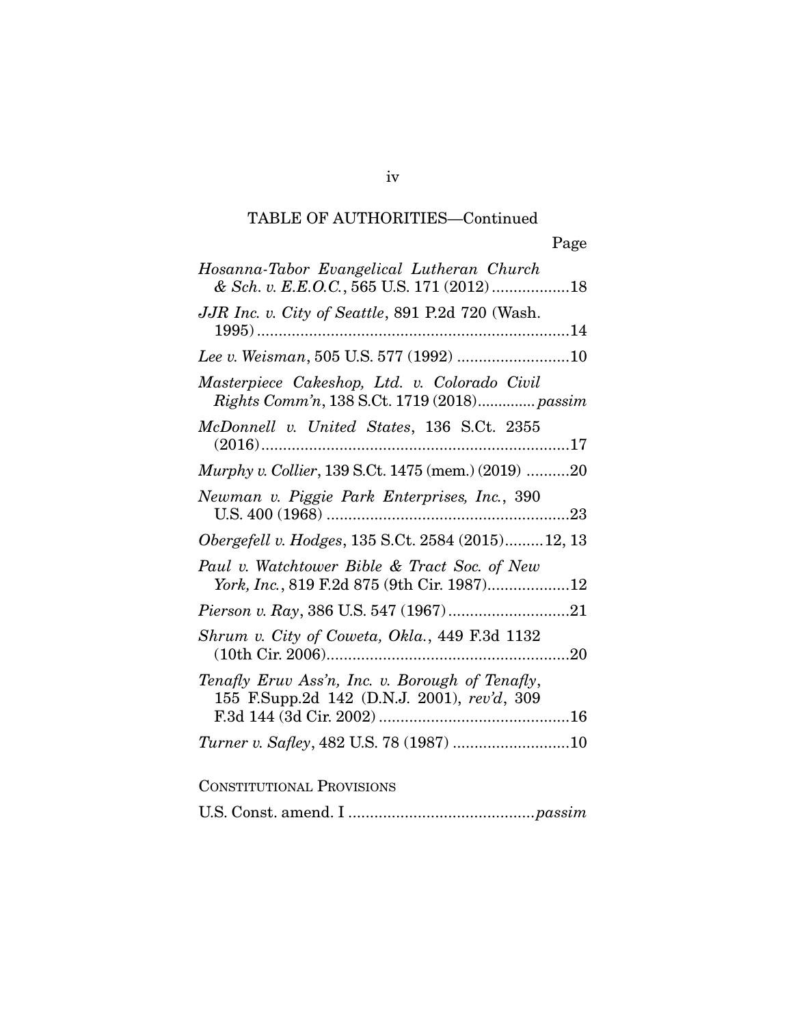## TABLE OF AUTHORITIES—Continued

| Hosanna-Tabor Evangelical Lutheran Church<br>& Sch. v. E.E.O.C., 565 U.S. 171 (2012)18         |
|------------------------------------------------------------------------------------------------|
| JJR Inc. v. City of Seattle, 891 P.2d 720 (Wash.                                               |
|                                                                                                |
| Masterpiece Cakeshop, Ltd. v. Colorado Civil<br>Rights Comm'n, 138 S.Ct. 1719 (2018) passim    |
| McDonnell v. United States, 136 S.Ct. 2355                                                     |
| <i>Murphy v. Collier</i> , 139 S.Ct. 1475 (mem.) (2019) 20                                     |
| Newman v. Piggie Park Enterprises, Inc., 390                                                   |
| <i>Obergefell v. Hodges, 135 S.Ct. 2584 (2015)12, 13</i>                                       |
| Paul v. Watchtower Bible & Tract Soc. of New<br>York, Inc., 819 F.2d 875 (9th Cir. 1987)12     |
|                                                                                                |
| Shrum v. City of Coweta, Okla., 449 F.3d 1132                                                  |
| Tenafly Eruv Ass'n, Inc. v. Borough of Tenafly,<br>155 F.Supp.2d 142 (D.N.J. 2001), rev'd, 309 |
|                                                                                                |

### CONSTITUTIONAL PROVISIONS

U.S. Const. amend. I ........................................... *passim*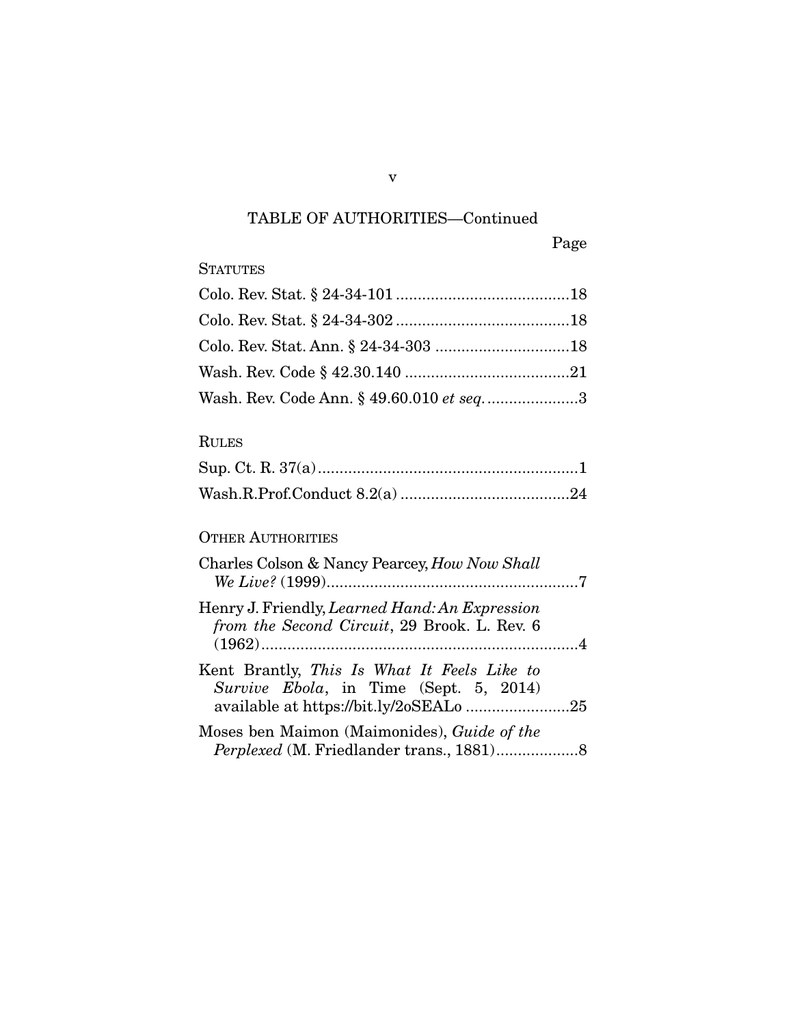### TABLE OF AUTHORITIES—Continued

Page

### **STATUTES**

| Wash. Rev. Code Ann. § 49.60.010 et seq3 |  |
|------------------------------------------|--|

### RULES

#### OTHER AUTHORITIES

| Charles Colson & Nancy Pearcey, How Now Shall                                                  |  |
|------------------------------------------------------------------------------------------------|--|
| Henry J. Friendly, Learned Hand: An Expression<br>from the Second Circuit, 29 Brook. L. Rev. 6 |  |
| Kent Brantly, This Is What It Feels Like to<br>Survive Ebola, in Time (Sept. 5, 2014)          |  |
| Moses ben Maimon (Maimonides), Guide of the                                                    |  |

v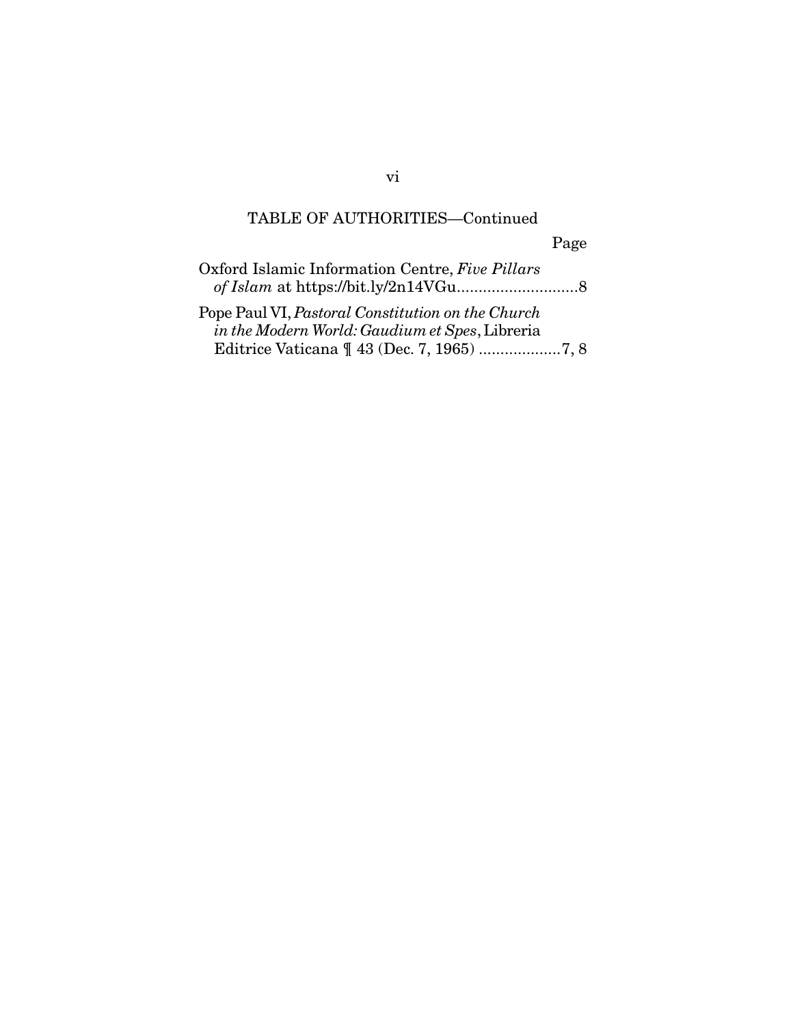## TABLE OF AUTHORITIES—Continued

Page

| Oxford Islamic Information Centre, Five Pillars                                                     |
|-----------------------------------------------------------------------------------------------------|
|                                                                                                     |
| Pope Paul VI, Pastoral Constitution on the Church<br>in the Modern World: Gaudium et Spes, Libreria |
|                                                                                                     |

vi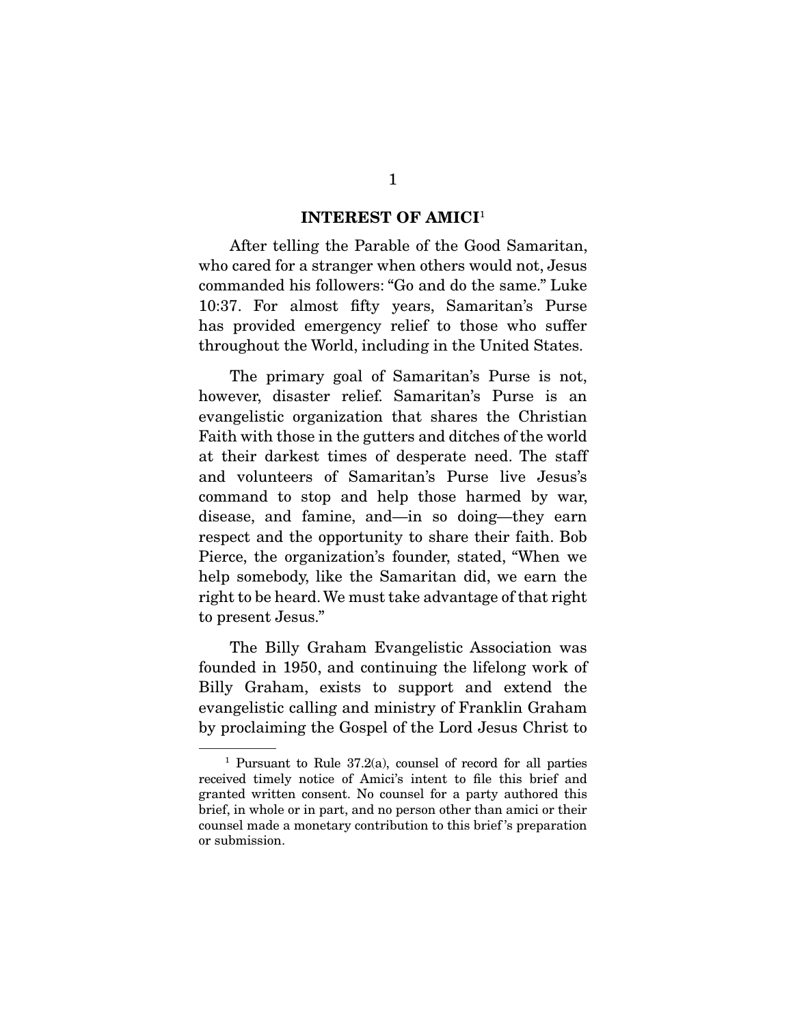#### INTEREST OF AMICI<sup>1</sup>

 After telling the Parable of the Good Samaritan, who cared for a stranger when others would not, Jesus commanded his followers: "Go and do the same." Luke 10:37. For almost fifty years, Samaritan's Purse has provided emergency relief to those who suffer throughout the World, including in the United States.

 The primary goal of Samaritan's Purse is not, however, disaster relief. Samaritan's Purse is an evangelistic organization that shares the Christian Faith with those in the gutters and ditches of the world at their darkest times of desperate need. The staff and volunteers of Samaritan's Purse live Jesus's command to stop and help those harmed by war, disease, and famine, and—in so doing—they earn respect and the opportunity to share their faith. Bob Pierce, the organization's founder, stated, "When we help somebody, like the Samaritan did, we earn the right to be heard. We must take advantage of that right to present Jesus."

 The Billy Graham Evangelistic Association was founded in 1950, and continuing the lifelong work of Billy Graham, exists to support and extend the evangelistic calling and ministry of Franklin Graham by proclaiming the Gospel of the Lord Jesus Christ to

<sup>&</sup>lt;sup>1</sup> Pursuant to Rule  $37.2(a)$ , counsel of record for all parties received timely notice of Amici's intent to file this brief and granted written consent. No counsel for a party authored this brief, in whole or in part, and no person other than amici or their counsel made a monetary contribution to this brief 's preparation or submission.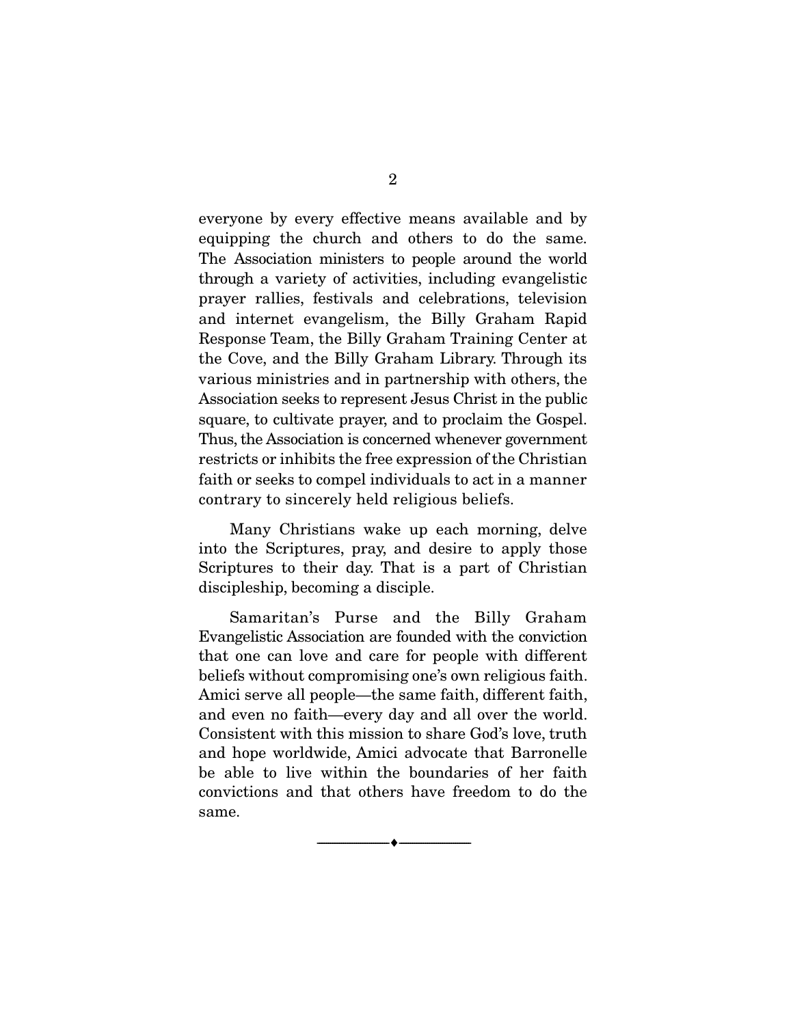everyone by every effective means available and by equipping the church and others to do the same. The Association ministers to people around the world through a variety of activities, including evangelistic prayer rallies, festivals and celebrations, television and internet evangelism, the Billy Graham Rapid Response Team, the Billy Graham Training Center at the Cove, and the Billy Graham Library. Through its various ministries and in partnership with others, the Association seeks to represent Jesus Christ in the public square, to cultivate prayer, and to proclaim the Gospel. Thus, the Association is concerned whenever government restricts or inhibits the free expression of the Christian faith or seeks to compel individuals to act in a manner contrary to sincerely held religious beliefs.

 Many Christians wake up each morning, delve into the Scriptures, pray, and desire to apply those Scriptures to their day. That is a part of Christian discipleship, becoming a disciple.

 Samaritan's Purse and the Billy Graham Evangelistic Association are founded with the conviction that one can love and care for people with different beliefs without compromising one's own religious faith. Amici serve all people—the same faith, different faith, and even no faith—every day and all over the world. Consistent with this mission to share God's love, truth and hope worldwide, Amici advocate that Barronelle be able to live within the boundaries of her faith convictions and that others have freedom to do the same.

--------------------------------- ---------------------------------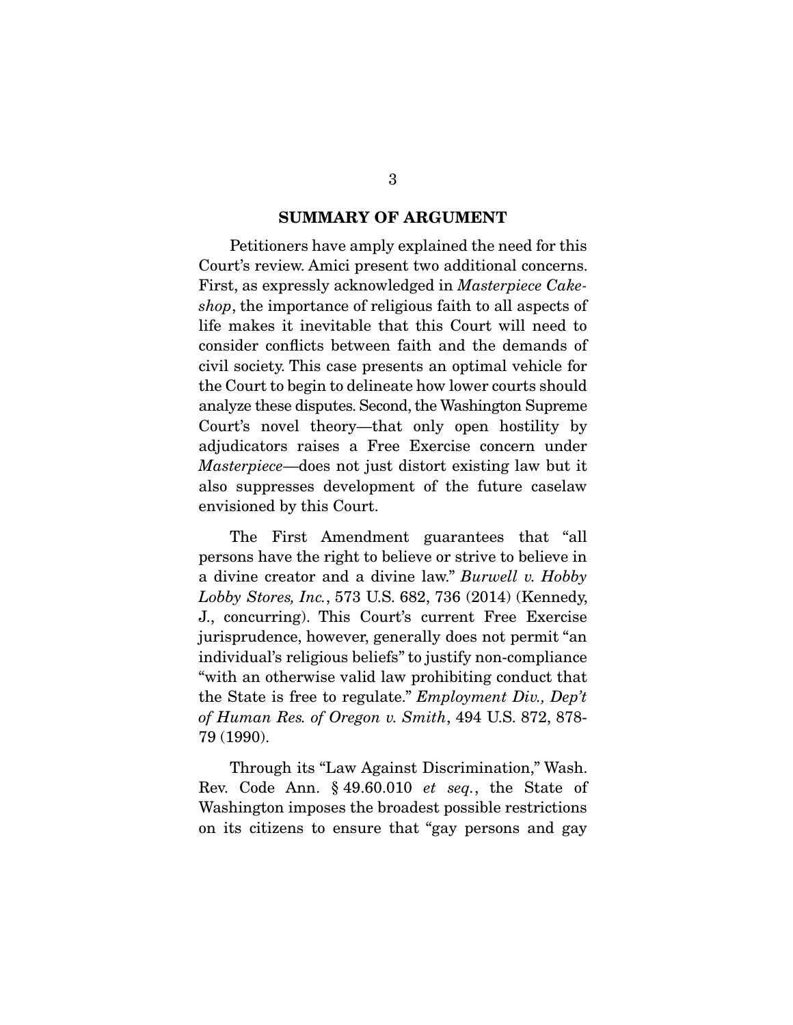#### SUMMARY OF ARGUMENT

 Petitioners have amply explained the need for this Court's review. Amici present two additional concerns. First, as expressly acknowledged in *Masterpiece Cakeshop*, the importance of religious faith to all aspects of life makes it inevitable that this Court will need to consider conflicts between faith and the demands of civil society. This case presents an optimal vehicle for the Court to begin to delineate how lower courts should analyze these disputes. Second, the Washington Supreme Court's novel theory—that only open hostility by adjudicators raises a Free Exercise concern under *Masterpiece*—does not just distort existing law but it also suppresses development of the future caselaw envisioned by this Court.

 The First Amendment guarantees that "all persons have the right to believe or strive to believe in a divine creator and a divine law." *Burwell v. Hobby Lobby Stores, Inc.*, 573 U.S. 682, 736 (2014) (Kennedy, J., concurring). This Court's current Free Exercise jurisprudence, however, generally does not permit "an individual's religious beliefs" to justify non-compliance "with an otherwise valid law prohibiting conduct that the State is free to regulate." *Employment Div., Dep't of Human Res. of Oregon v. Smith*, 494 U.S. 872, 878- 79 (1990).

 Through its "Law Against Discrimination," Wash. Rev. Code Ann. § 49.60.010 *et seq.*, the State of Washington imposes the broadest possible restrictions on its citizens to ensure that "gay persons and gay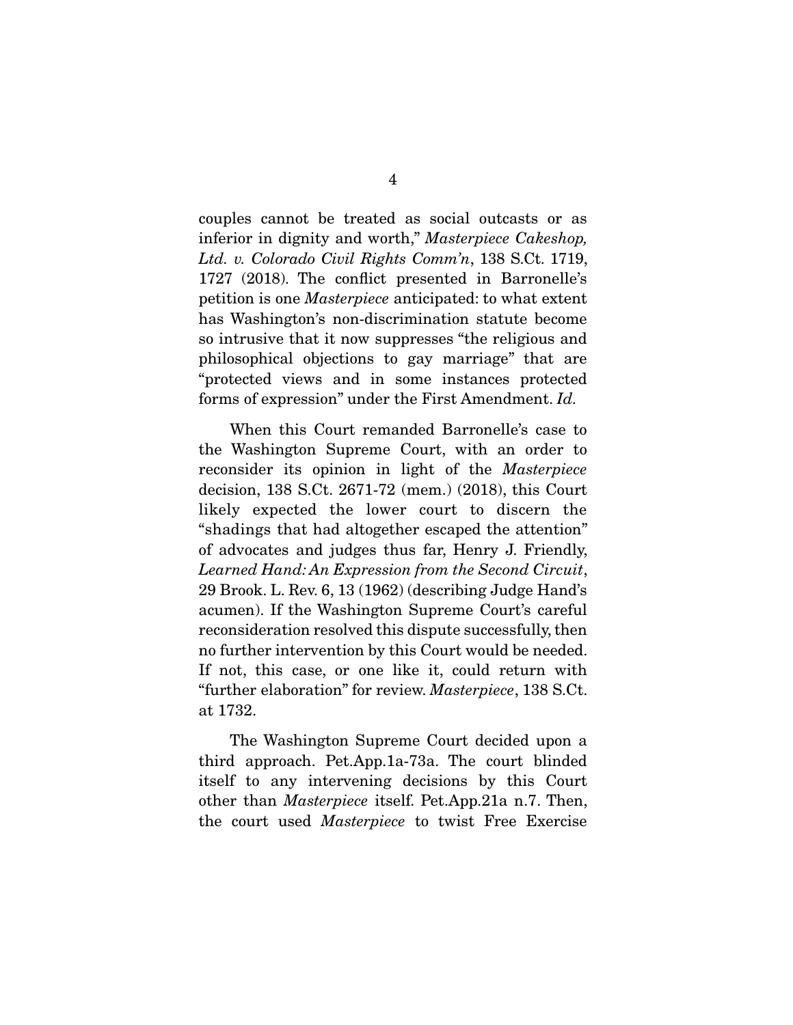couples cannot be treated as social outcasts or as inferior in dignity and worth," *Masterpiece Cakeshop, Ltd. v. Colorado Civil Rights Comm'n*, 138 S.Ct. 1719, 1727 (2018). The conflict presented in Barronelle's petition is one *Masterpiece* anticipated: to what extent has Washington's non-discrimination statute become so intrusive that it now suppresses "the religious and philosophical objections to gay marriage" that are "protected views and in some instances protected forms of expression" under the First Amendment. *Id.* 

When this Court remanded Barronelle's case to the Washington Supreme Court, with an order to reconsider its opinion in light of the *Masterpiece* decision, 138 S.Ct. 2671-72 (mem.) (2018), this Court likely expected the lower court to discern the "shadings that had altogether escaped the attention" of advocates and judges thus far, Henry J. Friendly, *Learned Hand: An Expression from the Second Circuit*, 29 Brook. L. Rev. 6, 13 (1962) (describing Judge Hand's acumen). If the Washington Supreme Court's careful reconsideration resolved this dispute successfully, then no further intervention by this Court would be needed. If not, this case, or one like it, could return with "further elaboration" for review. *Masterpiece*, 138 S.Ct. at 1732.

 The Washington Supreme Court decided upon a third approach. Pet.App.1a-73a. The court blinded itself to any intervening decisions by this Court other than *Masterpiece* itself. Pet.App.21a n.7. Then, the court used *Masterpiece* to twist Free Exercise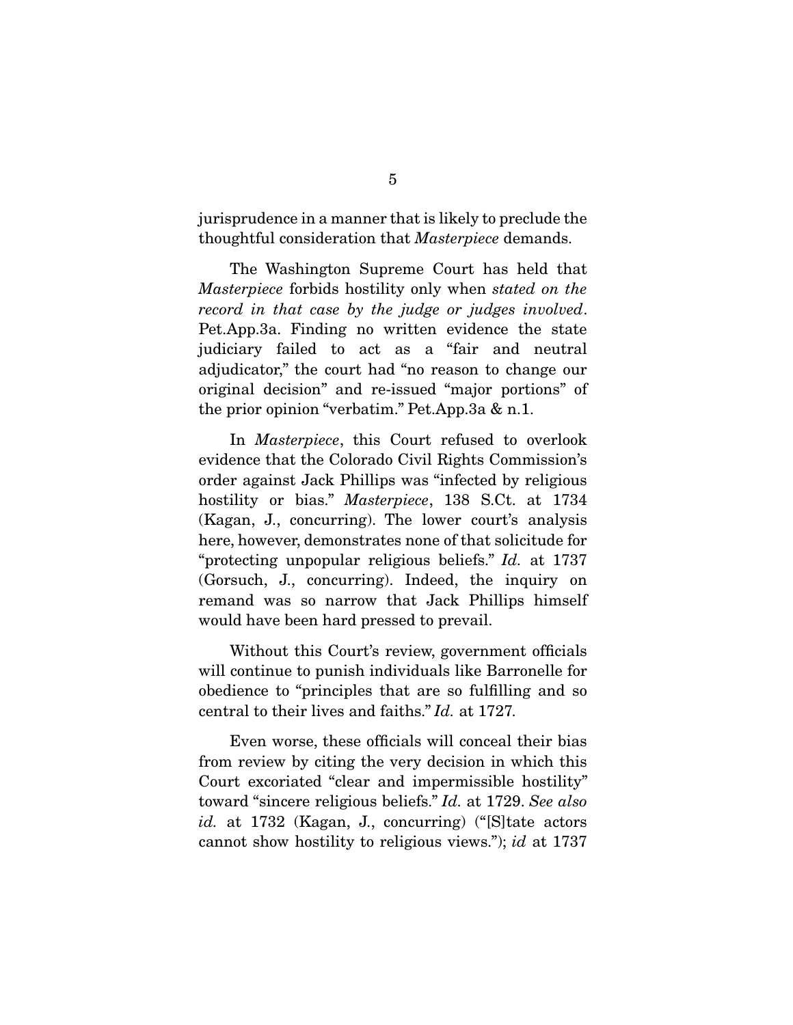jurisprudence in a manner that is likely to preclude the thoughtful consideration that *Masterpiece* demands.

 The Washington Supreme Court has held that *Masterpiece* forbids hostility only when *stated on the record in that case by the judge or judges involved*. Pet.App.3a. Finding no written evidence the state judiciary failed to act as a "fair and neutral adjudicator," the court had "no reason to change our original decision" and re-issued "major portions" of the prior opinion "verbatim." Pet.App.3a & n.1.

 In *Masterpiece*, this Court refused to overlook evidence that the Colorado Civil Rights Commission's order against Jack Phillips was "infected by religious hostility or bias." *Masterpiece*, 138 S.Ct. at 1734 (Kagan, J., concurring). The lower court's analysis here, however, demonstrates none of that solicitude for "protecting unpopular religious beliefs." *Id.* at 1737 (Gorsuch, J., concurring). Indeed, the inquiry on remand was so narrow that Jack Phillips himself would have been hard pressed to prevail.

 Without this Court's review, government officials will continue to punish individuals like Barronelle for obedience to "principles that are so fulfilling and so central to their lives and faiths." *Id.* at 1727*.*

 Even worse, these officials will conceal their bias from review by citing the very decision in which this Court excoriated "clear and impermissible hostility" toward "sincere religious beliefs." *Id.* at 1729. *See also id.* at 1732 (Kagan, J., concurring) ("[S]tate actors cannot show hostility to religious views."); *id* at 1737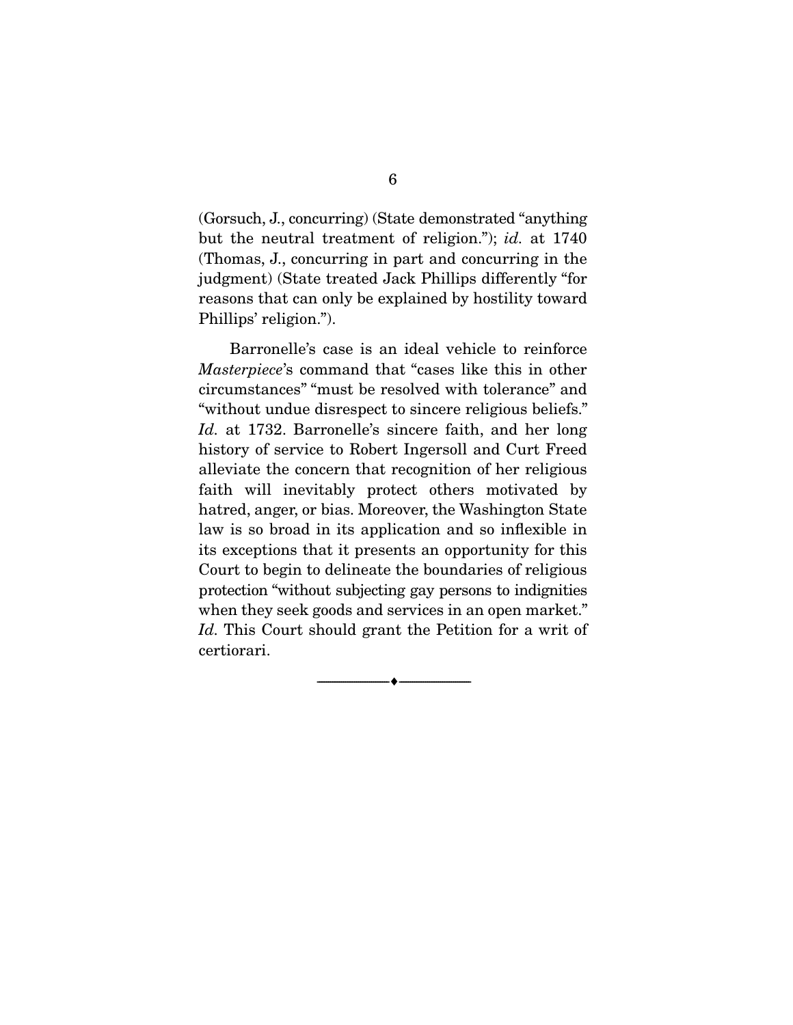(Gorsuch, J., concurring) (State demonstrated "anything but the neutral treatment of religion."); *id.* at 1740 (Thomas, J., concurring in part and concurring in the judgment) (State treated Jack Phillips differently "for reasons that can only be explained by hostility toward Phillips' religion.").

 Barronelle's case is an ideal vehicle to reinforce *Masterpiece*'s command that "cases like this in other circumstances" "must be resolved with tolerance" and "without undue disrespect to sincere religious beliefs." *Id.* at 1732. Barronelle's sincere faith, and her long history of service to Robert Ingersoll and Curt Freed alleviate the concern that recognition of her religious faith will inevitably protect others motivated by hatred, anger, or bias. Moreover, the Washington State law is so broad in its application and so inflexible in its exceptions that it presents an opportunity for this Court to begin to delineate the boundaries of religious protection "without subjecting gay persons to indignities when they seek goods and services in an open market." *Id.* This Court should grant the Petition for a writ of certiorari.

--------------------------------- ---------------------------------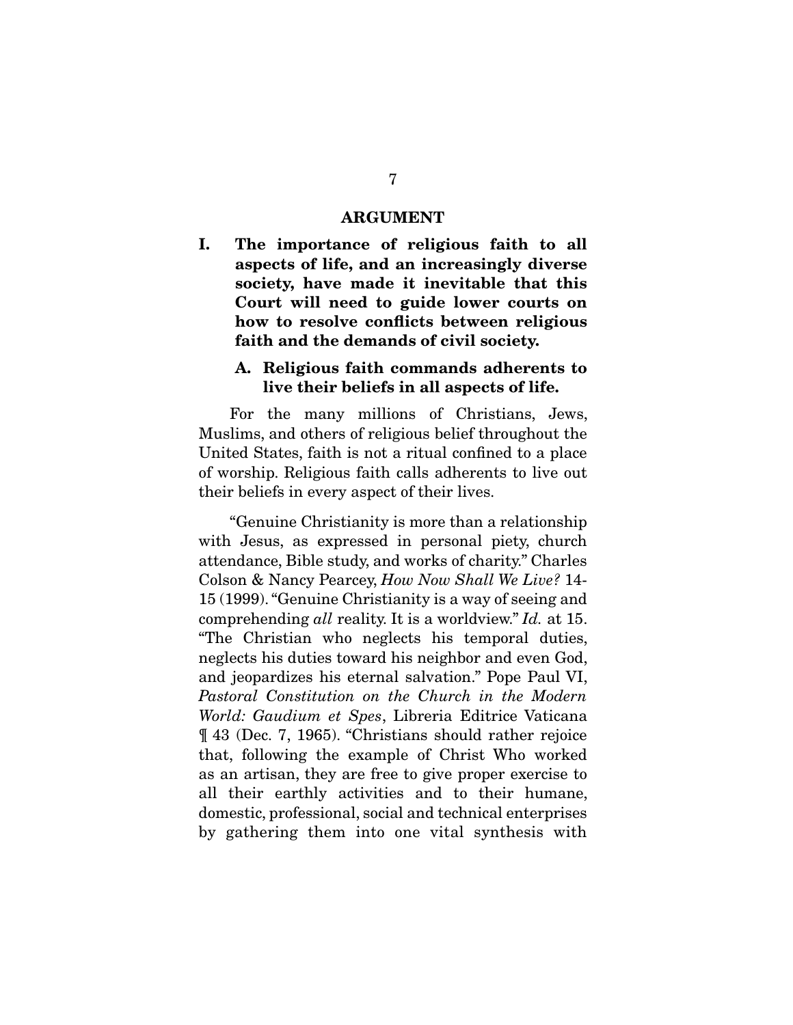#### ARGUMENT

I. The importance of religious faith to all aspects of life, and an increasingly diverse society, have made it inevitable that this Court will need to guide lower courts on how to resolve conflicts between religious faith and the demands of civil society.

#### A. Religious faith commands adherents to live their beliefs in all aspects of life.

For the many millions of Christians, Jews, Muslims, and others of religious belief throughout the United States, faith is not a ritual confined to a place of worship. Religious faith calls adherents to live out their beliefs in every aspect of their lives.

 "Genuine Christianity is more than a relationship with Jesus, as expressed in personal piety, church attendance, Bible study, and works of charity." Charles Colson & Nancy Pearcey, *How Now Shall We Live?* 14- 15 (1999). "Genuine Christianity is a way of seeing and comprehending *all* reality. It is a worldview." *Id.* at 15. "The Christian who neglects his temporal duties, neglects his duties toward his neighbor and even God, and jeopardizes his eternal salvation." Pope Paul VI, *Pastoral Constitution on the Church in the Modern World: Gaudium et Spes*, Libreria Editrice Vaticana ¶ 43 (Dec. 7, 1965). "Christians should rather rejoice that, following the example of Christ Who worked as an artisan, they are free to give proper exercise to all their earthly activities and to their humane, domestic, professional, social and technical enterprises by gathering them into one vital synthesis with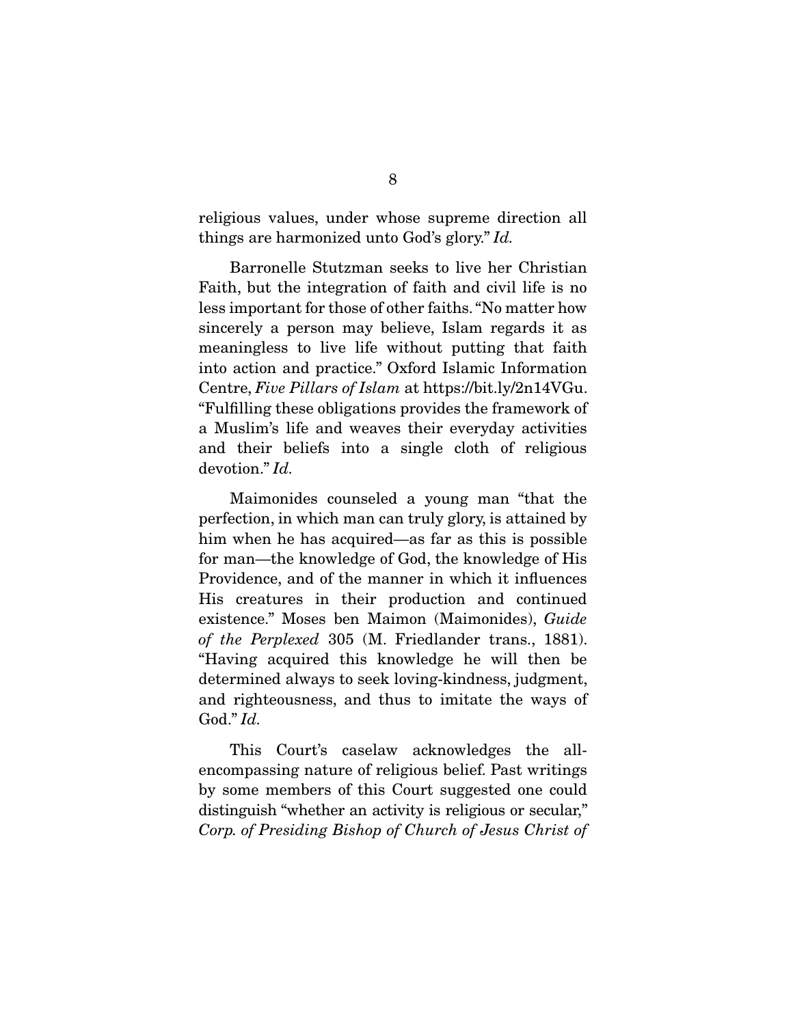religious values, under whose supreme direction all things are harmonized unto God's glory." *Id.* 

Barronelle Stutzman seeks to live her Christian Faith, but the integration of faith and civil life is no less important for those of other faiths. "No matter how sincerely a person may believe, Islam regards it as meaningless to live life without putting that faith into action and practice." Oxford Islamic Information Centre, *Five Pillars of Islam* at https://bit.ly/2n14VGu. "Fulfilling these obligations provides the framework of a Muslim's life and weaves their everyday activities and their beliefs into a single cloth of religious devotion." *Id.*

 Maimonides counseled a young man "that the perfection, in which man can truly glory, is attained by him when he has acquired—as far as this is possible for man—the knowledge of God, the knowledge of His Providence, and of the manner in which it influences His creatures in their production and continued existence." Moses ben Maimon (Maimonides), *Guide of the Perplexed* 305 (M. Friedlander trans., 1881). "Having acquired this knowledge he will then be determined always to seek loving-kindness, judgment, and righteousness, and thus to imitate the ways of God." *Id.* 

This Court's caselaw acknowledges the allencompassing nature of religious belief. Past writings by some members of this Court suggested one could distinguish "whether an activity is religious or secular," *Corp. of Presiding Bishop of Church of Jesus Christ of*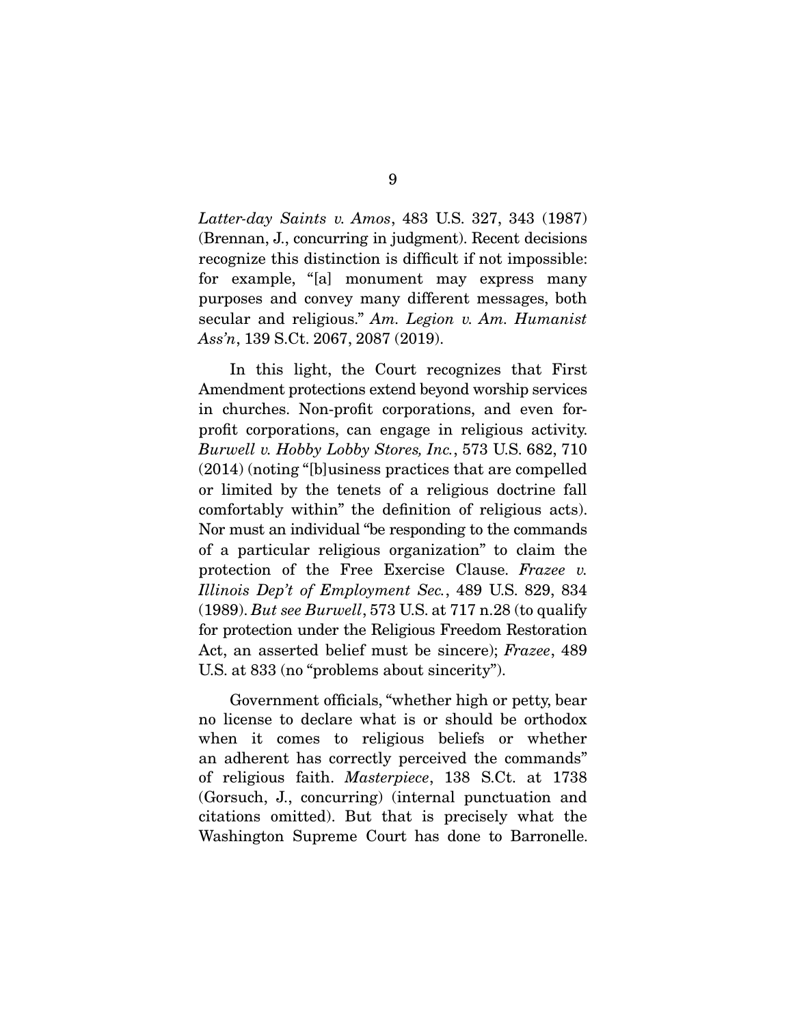*Latter-day Saints v. Amos*, 483 U.S. 327, 343 (1987) (Brennan, J., concurring in judgment). Recent decisions recognize this distinction is difficult if not impossible: for example, "[a] monument may express many purposes and convey many different messages, both secular and religious." *Am. Legion v. Am. Humanist Ass'n*, 139 S.Ct. 2067, 2087 (2019).

 In this light, the Court recognizes that First Amendment protections extend beyond worship services in churches. Non-profit corporations, and even forprofit corporations, can engage in religious activity. *Burwell v. Hobby Lobby Stores, Inc.*, 573 U.S. 682, 710 (2014) (noting "[b]usiness practices that are compelled or limited by the tenets of a religious doctrine fall comfortably within" the definition of religious acts). Nor must an individual "be responding to the commands of a particular religious organization" to claim the protection of the Free Exercise Clause. *Frazee v. Illinois Dep't of Employment Sec.*, 489 U.S. 829, 834 (1989). *But see Burwell*, 573 U.S. at 717 n.28 (to qualify for protection under the Religious Freedom Restoration Act, an asserted belief must be sincere); *Frazee*, 489 U.S. at 833 (no "problems about sincerity").

 Government officials, "whether high or petty, bear no license to declare what is or should be orthodox when it comes to religious beliefs or whether an adherent has correctly perceived the commands" of religious faith. *Masterpiece*, 138 S.Ct. at 1738 (Gorsuch, J., concurring) (internal punctuation and citations omitted). But that is precisely what the Washington Supreme Court has done to Barronelle.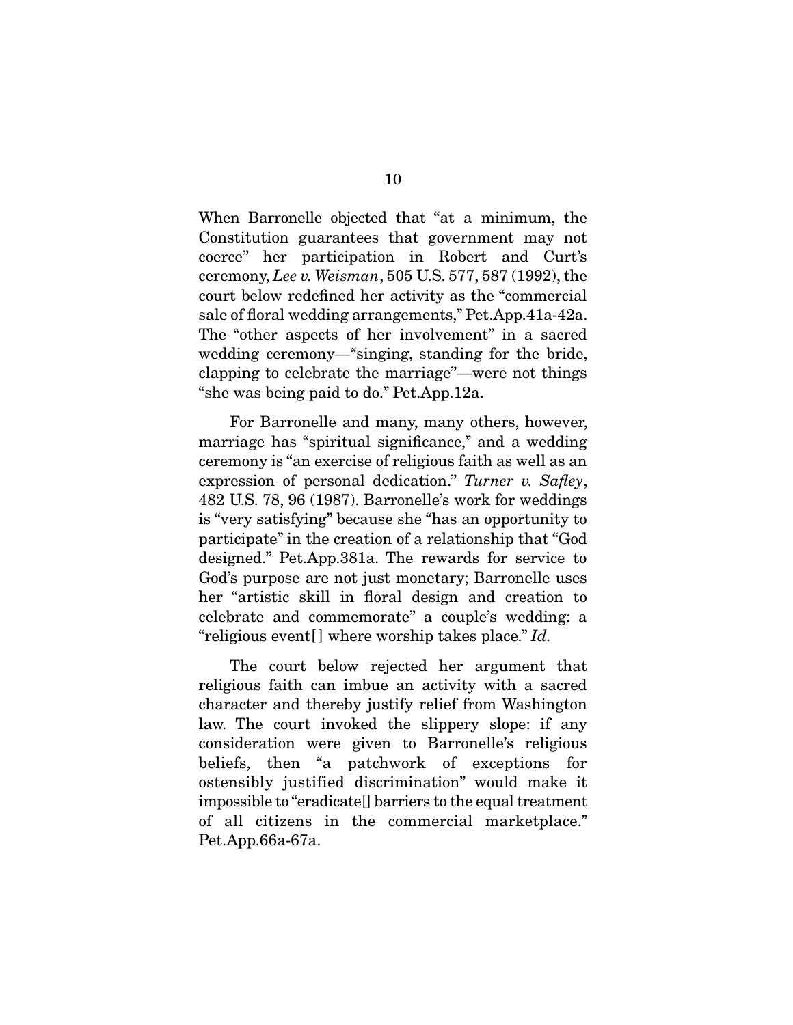When Barronelle objected that "at a minimum, the Constitution guarantees that government may not coerce" her participation in Robert and Curt's ceremony, *Lee v. Weisman*, 505 U.S. 577, 587 (1992), the court below redefined her activity as the "commercial sale of floral wedding arrangements," Pet.App.41a-42a. The "other aspects of her involvement" in a sacred wedding ceremony—"singing, standing for the bride, clapping to celebrate the marriage"—were not things "she was being paid to do." Pet.App.12a.

 For Barronelle and many, many others, however, marriage has "spiritual significance," and a wedding ceremony is "an exercise of religious faith as well as an expression of personal dedication." *Turner v. Safley*, 482 U.S. 78, 96 (1987). Barronelle's work for weddings is "very satisfying" because she "has an opportunity to participate" in the creation of a relationship that "God designed." Pet.App.381a. The rewards for service to God's purpose are not just monetary; Barronelle uses her "artistic skill in floral design and creation to celebrate and commemorate" a couple's wedding: a "religious event[ ] where worship takes place." *Id.*

 The court below rejected her argument that religious faith can imbue an activity with a sacred character and thereby justify relief from Washington law. The court invoked the slippery slope: if any consideration were given to Barronelle's religious beliefs, then "a patchwork of exceptions for ostensibly justified discrimination" would make it impossible to "eradicate[] barriers to the equal treatment of all citizens in the commercial marketplace." Pet.App.66a-67a.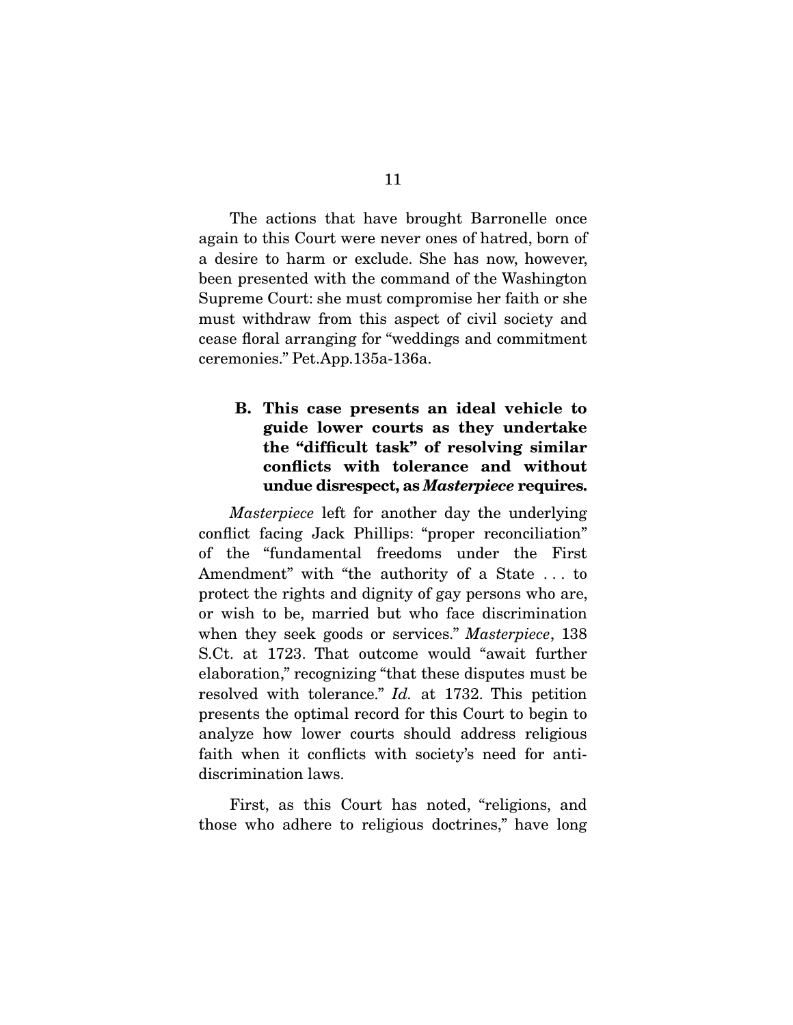The actions that have brought Barronelle once again to this Court were never ones of hatred, born of a desire to harm or exclude. She has now, however, been presented with the command of the Washington Supreme Court: she must compromise her faith or she must withdraw from this aspect of civil society and cease floral arranging for "weddings and commitment ceremonies." Pet.App.135a-136a.

#### B. This case presents an ideal vehicle to guide lower courts as they undertake the "difficult task" of resolving similar conflicts with tolerance and without undue disrespect, as *Masterpiece* requires.

*Masterpiece* left for another day the underlying conflict facing Jack Phillips: "proper reconciliation" of the "fundamental freedoms under the First Amendment" with "the authority of a State . . . to protect the rights and dignity of gay persons who are, or wish to be, married but who face discrimination when they seek goods or services." *Masterpiece*, 138 S.Ct. at 1723. That outcome would "await further elaboration," recognizing "that these disputes must be resolved with tolerance." *Id.* at 1732. This petition presents the optimal record for this Court to begin to analyze how lower courts should address religious faith when it conflicts with society's need for antidiscrimination laws.

 First, as this Court has noted, "religions, and those who adhere to religious doctrines," have long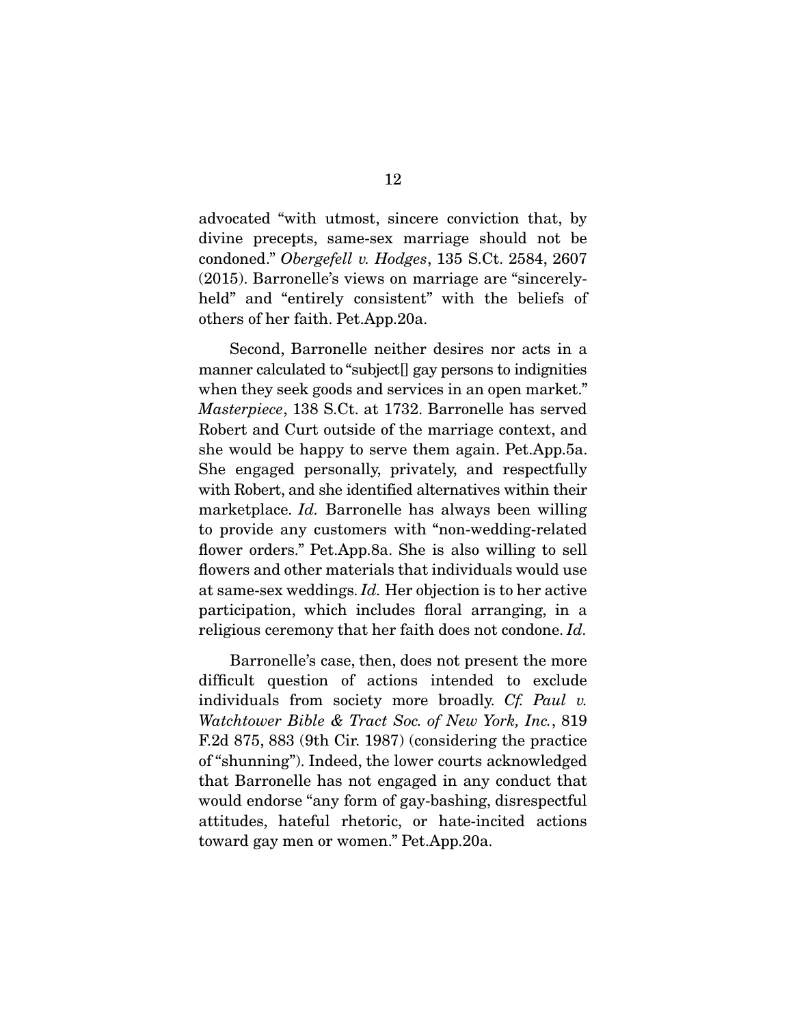advocated "with utmost, sincere conviction that, by divine precepts, same-sex marriage should not be condoned." *Obergefell v. Hodges*, 135 S.Ct. 2584, 2607 (2015). Barronelle's views on marriage are "sincerelyheld" and "entirely consistent" with the beliefs of others of her faith. Pet.App.20a.

 Second, Barronelle neither desires nor acts in a manner calculated to "subject[] gay persons to indignities when they seek goods and services in an open market." *Masterpiece*, 138 S.Ct. at 1732. Barronelle has served Robert and Curt outside of the marriage context, and she would be happy to serve them again. Pet.App.5a. She engaged personally, privately, and respectfully with Robert, and she identified alternatives within their marketplace. *Id.* Barronelle has always been willing to provide any customers with "non-wedding-related flower orders." Pet.App.8a. She is also willing to sell flowers and other materials that individuals would use at same-sex weddings. *Id.* Her objection is to her active participation, which includes floral arranging, in a religious ceremony that her faith does not condone. *Id.*

 Barronelle's case, then, does not present the more difficult question of actions intended to exclude individuals from society more broadly. *Cf. Paul v. Watchtower Bible & Tract Soc. of New York, Inc.*, 819 F.2d 875, 883 (9th Cir. 1987) (considering the practice of "shunning"). Indeed, the lower courts acknowledged that Barronelle has not engaged in any conduct that would endorse "any form of gay-bashing, disrespectful attitudes, hateful rhetoric, or hate-incited actions toward gay men or women." Pet.App.20a.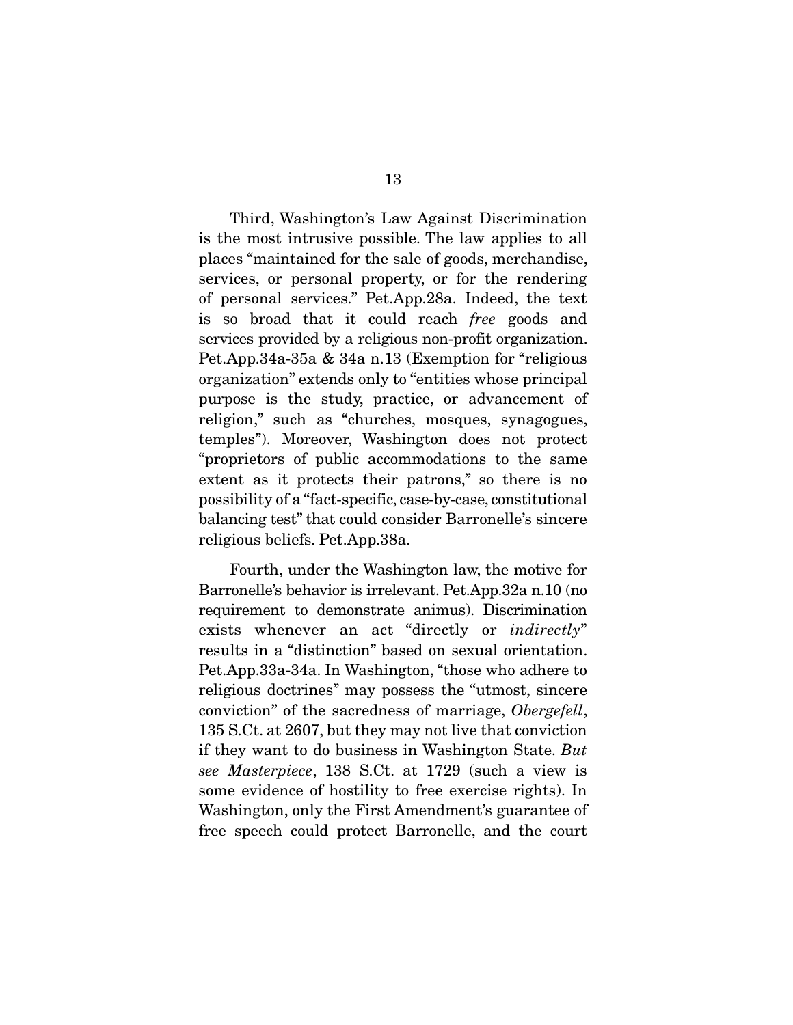Third, Washington's Law Against Discrimination is the most intrusive possible. The law applies to all places "maintained for the sale of goods, merchandise, services, or personal property, or for the rendering of personal services." Pet.App.28a. Indeed, the text is so broad that it could reach *free* goods and services provided by a religious non-profit organization. Pet.App.34a-35a & 34a n.13 (Exemption for "religious organization" extends only to "entities whose principal purpose is the study, practice, or advancement of religion," such as "churches, mosques, synagogues, temples"). Moreover, Washington does not protect "proprietors of public accommodations to the same extent as it protects their patrons," so there is no possibility of a "fact-specific, case-by-case, constitutional balancing test" that could consider Barronelle's sincere religious beliefs. Pet.App.38a.

 Fourth, under the Washington law, the motive for Barronelle's behavior is irrelevant. Pet.App.32a n.10 (no requirement to demonstrate animus). Discrimination exists whenever an act "directly or *indirectly*" results in a "distinction" based on sexual orientation. Pet.App.33a-34a. In Washington, "those who adhere to religious doctrines" may possess the "utmost, sincere conviction" of the sacredness of marriage, *Obergefell*, 135 S.Ct. at 2607, but they may not live that conviction if they want to do business in Washington State. *But see Masterpiece*, 138 S.Ct. at 1729 (such a view is some evidence of hostility to free exercise rights). In Washington, only the First Amendment's guarantee of free speech could protect Barronelle, and the court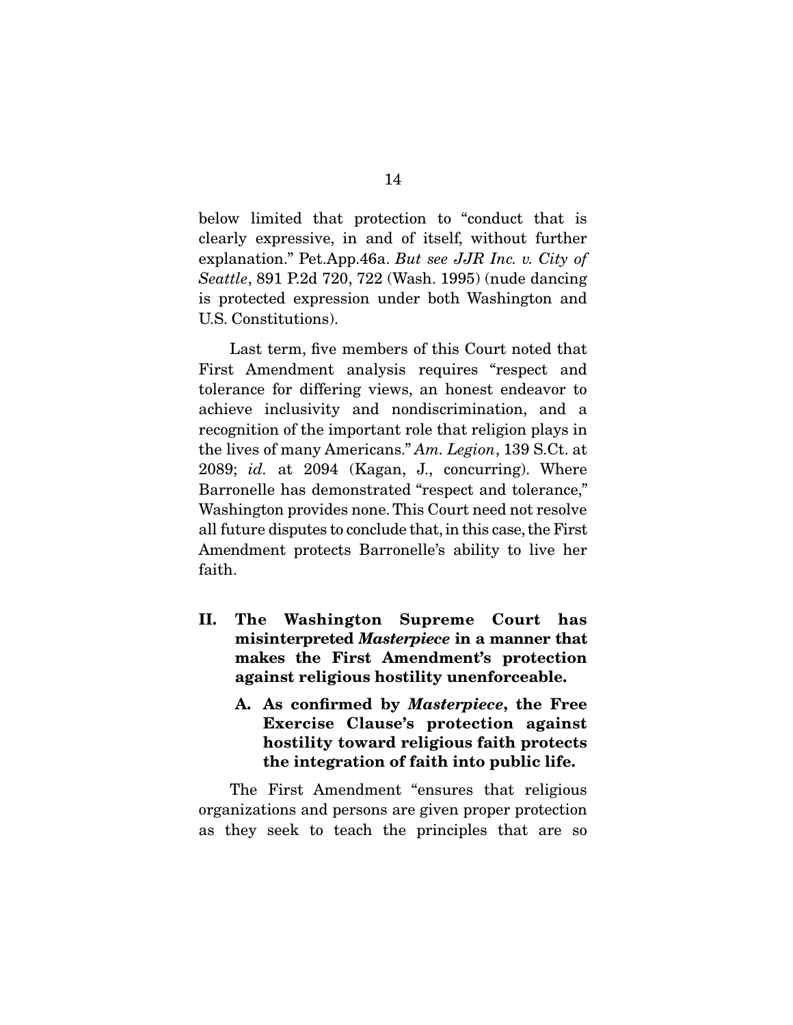below limited that protection to "conduct that is clearly expressive, in and of itself, without further explanation." Pet.App.46a. *But see JJR Inc. v. City of Seattle*, 891 P.2d 720, 722 (Wash. 1995) (nude dancing is protected expression under both Washington and U.S. Constitutions).

 Last term, five members of this Court noted that First Amendment analysis requires "respect and tolerance for differing views, an honest endeavor to achieve inclusivity and nondiscrimination, and a recognition of the important role that religion plays in the lives of many Americans." *Am. Legion*, 139 S.Ct. at 2089; *id.* at 2094 (Kagan, J., concurring). Where Barronelle has demonstrated "respect and tolerance," Washington provides none. This Court need not resolve all future disputes to conclude that, in this case, the First Amendment protects Barronelle's ability to live her faith.

- II. The Washington Supreme Court has misinterpreted *Masterpiece* in a manner that makes the First Amendment's protection against religious hostility unenforceable.
	- A. As confirmed by *Masterpiece*, the Free Exercise Clause's protection against hostility toward religious faith protects the integration of faith into public life.

The First Amendment "ensures that religious organizations and persons are given proper protection as they seek to teach the principles that are so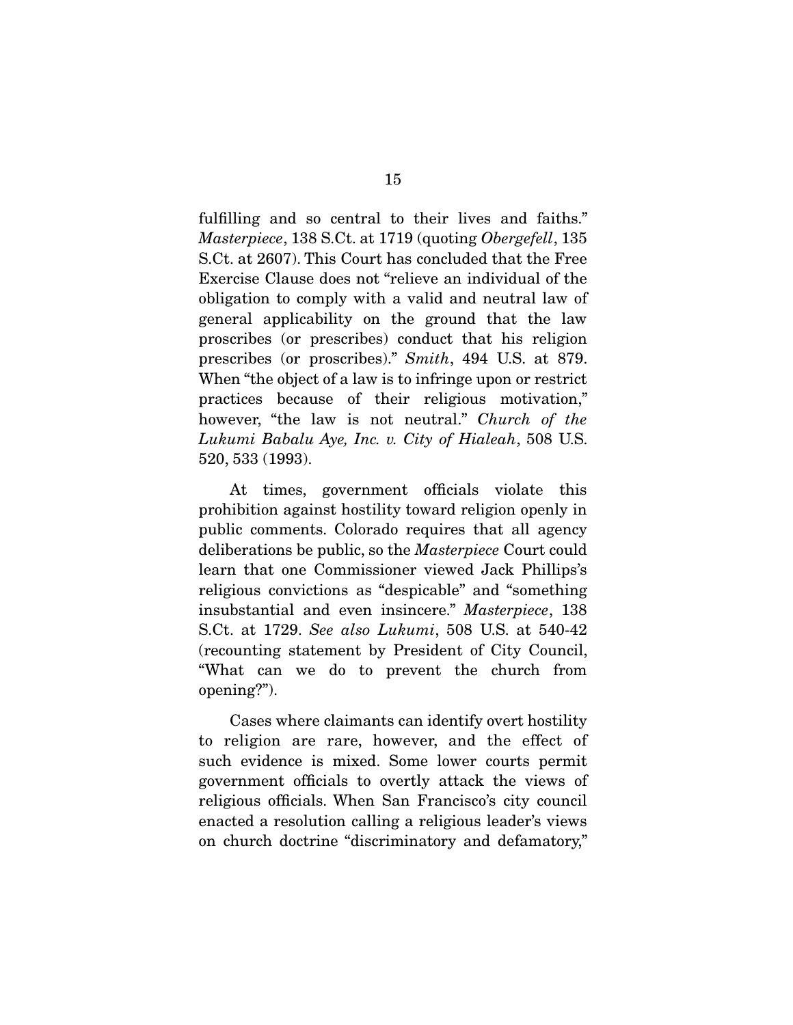fulfilling and so central to their lives and faiths." *Masterpiece*, 138 S.Ct. at 1719 (quoting *Obergefell*, 135 S.Ct. at 2607). This Court has concluded that the Free Exercise Clause does not "relieve an individual of the obligation to comply with a valid and neutral law of general applicability on the ground that the law proscribes (or prescribes) conduct that his religion prescribes (or proscribes)." *Smith*, 494 U.S. at 879. When "the object of a law is to infringe upon or restrict practices because of their religious motivation," however, "the law is not neutral." *Church of the Lukumi Babalu Aye, Inc. v. City of Hialeah*, 508 U.S. 520, 533 (1993).

 At times, government officials violate this prohibition against hostility toward religion openly in public comments. Colorado requires that all agency deliberations be public, so the *Masterpiece* Court could learn that one Commissioner viewed Jack Phillips's religious convictions as "despicable" and "something insubstantial and even insincere." *Masterpiece*, 138 S.Ct. at 1729. *See also Lukumi*, 508 U.S. at 540-42 (recounting statement by President of City Council, "What can we do to prevent the church from opening?").

 Cases where claimants can identify overt hostility to religion are rare, however, and the effect of such evidence is mixed. Some lower courts permit government officials to overtly attack the views of religious officials. When San Francisco's city council enacted a resolution calling a religious leader's views on church doctrine "discriminatory and defamatory,"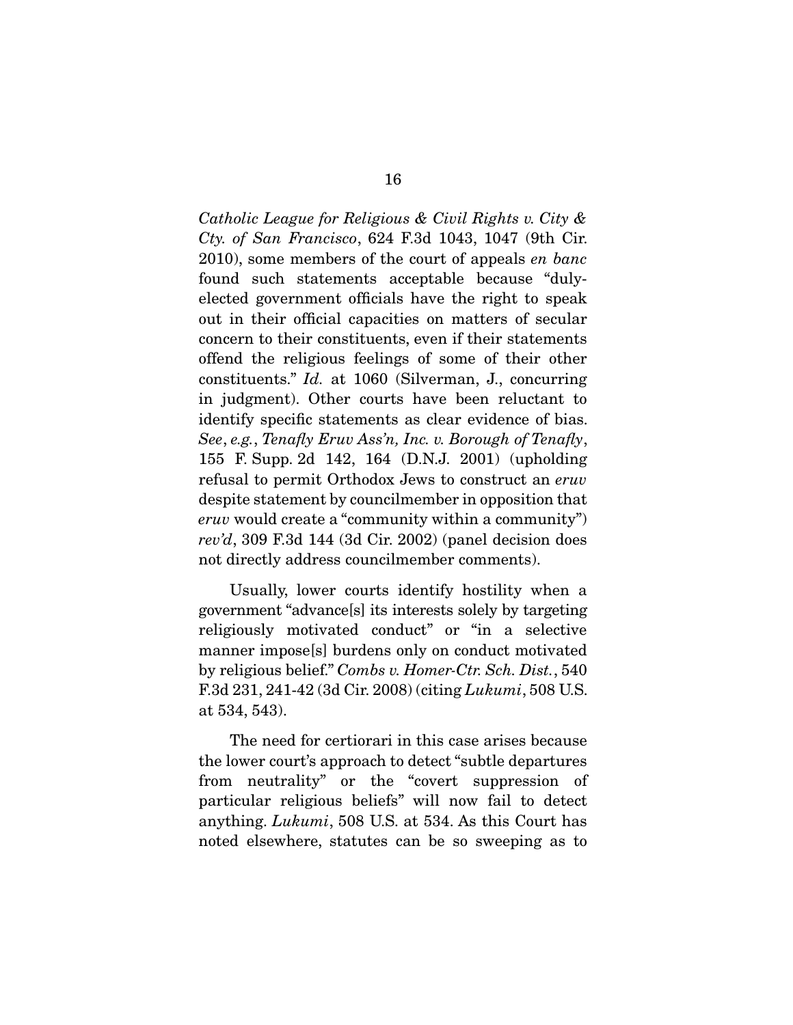*Catholic League for Religious & Civil Rights v. City & Cty. of San Francisco*, 624 F.3d 1043, 1047 (9th Cir. 2010), some members of the court of appeals *en banc*  found such statements acceptable because "dulyelected government officials have the right to speak out in their official capacities on matters of secular concern to their constituents, even if their statements offend the religious feelings of some of their other constituents." *Id.* at 1060 (Silverman, J., concurring in judgment). Other courts have been reluctant to identify specific statements as clear evidence of bias. *See*, *e.g.*, *Tenafly Eruv Ass'n, Inc. v. Borough of Tenafly*, 155 F. Supp. 2d 142, 164 (D.N.J. 2001) (upholding refusal to permit Orthodox Jews to construct an *eruv* despite statement by councilmember in opposition that *eruv* would create a "community within a community") *rev'd*, 309 F.3d 144 (3d Cir. 2002) (panel decision does not directly address councilmember comments).

 Usually, lower courts identify hostility when a government "advance[s] its interests solely by targeting religiously motivated conduct" or "in a selective manner impose[s] burdens only on conduct motivated by religious belief." *Combs v. Homer-Ctr. Sch. Dist.*, 540 F.3d 231, 241-42 (3d Cir. 2008) (citing *Lukumi*, 508 U.S. at 534, 543).

 The need for certiorari in this case arises because the lower court's approach to detect "subtle departures from neutrality" or the "covert suppression of particular religious beliefs" will now fail to detect anything. *Lukumi*, 508 U.S. at 534. As this Court has noted elsewhere, statutes can be so sweeping as to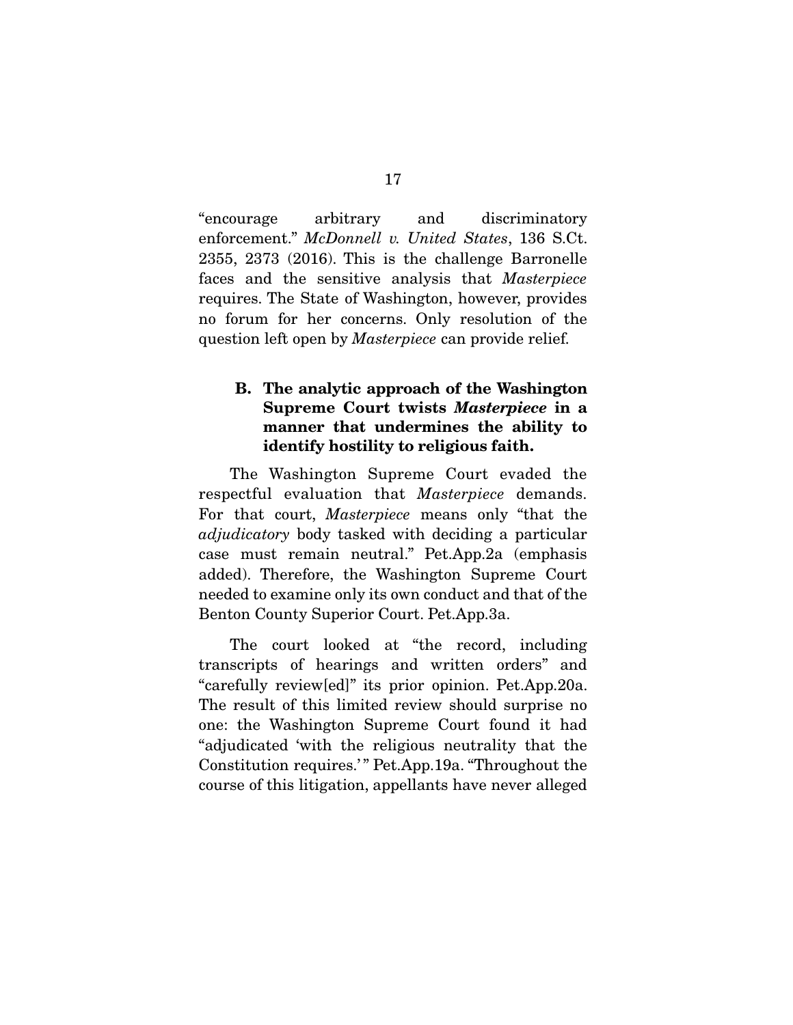"encourage arbitrary and discriminatory enforcement." *McDonnell v. United States*, 136 S.Ct. 2355, 2373 (2016). This is the challenge Barronelle faces and the sensitive analysis that *Masterpiece* requires. The State of Washington, however, provides no forum for her concerns. Only resolution of the question left open by *Masterpiece* can provide relief.

#### B. The analytic approach of the Washington Supreme Court twists *Masterpiece* in a manner that undermines the ability to identify hostility to religious faith.

The Washington Supreme Court evaded the respectful evaluation that *Masterpiece* demands. For that court, *Masterpiece* means only "that the *adjudicatory* body tasked with deciding a particular case must remain neutral." Pet.App.2a (emphasis added). Therefore, the Washington Supreme Court needed to examine only its own conduct and that of the Benton County Superior Court. Pet.App.3a.

 The court looked at "the record, including transcripts of hearings and written orders" and "carefully review[ed]" its prior opinion. Pet.App.20a. The result of this limited review should surprise no one: the Washington Supreme Court found it had "adjudicated 'with the religious neutrality that the Constitution requires.'" Pet.App.19a. "Throughout the course of this litigation, appellants have never alleged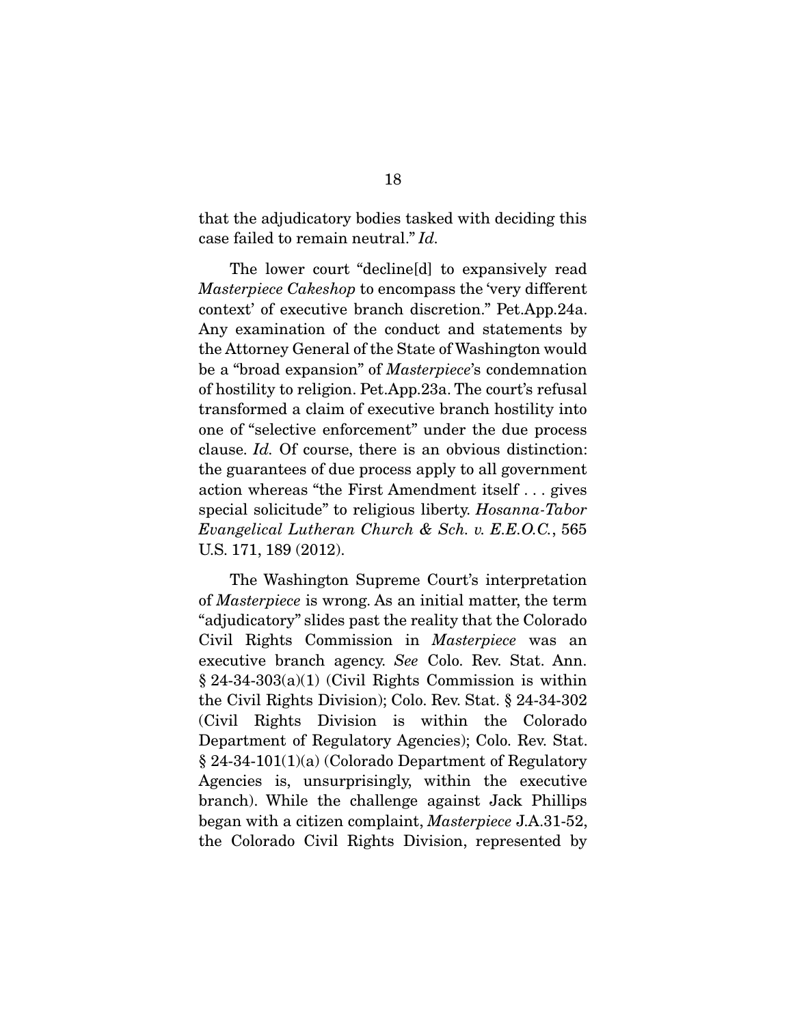that the adjudicatory bodies tasked with deciding this case failed to remain neutral." *Id.* 

The lower court "decline[d] to expansively read *Masterpiece Cakeshop* to encompass the 'very different context' of executive branch discretion." Pet.App.24a. Any examination of the conduct and statements by the Attorney General of the State of Washington would be a "broad expansion" of *Masterpiece*'s condemnation of hostility to religion. Pet.App.23a. The court's refusal transformed a claim of executive branch hostility into one of "selective enforcement" under the due process clause. *Id.* Of course, there is an obvious distinction: the guarantees of due process apply to all government action whereas "the First Amendment itself . . . gives special solicitude" to religious liberty. *Hosanna-Tabor Evangelical Lutheran Church & Sch. v. E.E.O.C.*, 565 U.S. 171, 189 (2012).

 The Washington Supreme Court's interpretation of *Masterpiece* is wrong. As an initial matter, the term "adjudicatory" slides past the reality that the Colorado Civil Rights Commission in *Masterpiece* was an executive branch agency. *See* Colo. Rev. Stat. Ann. § 24-34-303(a)(1) (Civil Rights Commission is within the Civil Rights Division); Colo. Rev. Stat. § 24-34-302 (Civil Rights Division is within the Colorado Department of Regulatory Agencies); Colo. Rev. Stat. § 24-34-101(1)(a) (Colorado Department of Regulatory Agencies is, unsurprisingly, within the executive branch). While the challenge against Jack Phillips began with a citizen complaint, *Masterpiece* J.A.31-52, the Colorado Civil Rights Division, represented by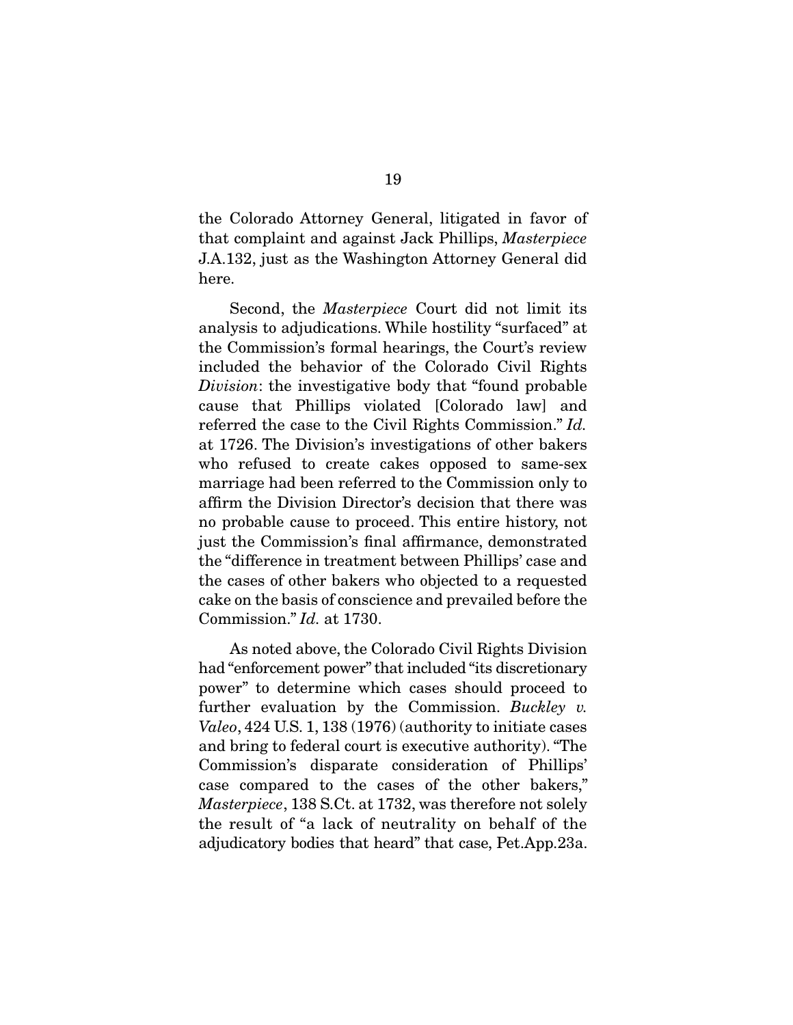the Colorado Attorney General, litigated in favor of that complaint and against Jack Phillips, *Masterpiece*  J.A.132, just as the Washington Attorney General did here.

 Second, the *Masterpiece* Court did not limit its analysis to adjudications. While hostility "surfaced" at the Commission's formal hearings, the Court's review included the behavior of the Colorado Civil Rights *Division*: the investigative body that "found probable cause that Phillips violated [Colorado law] and referred the case to the Civil Rights Commission." *Id.*  at 1726. The Division's investigations of other bakers who refused to create cakes opposed to same-sex marriage had been referred to the Commission only to affirm the Division Director's decision that there was no probable cause to proceed. This entire history, not just the Commission's final affirmance, demonstrated the "difference in treatment between Phillips' case and the cases of other bakers who objected to a requested cake on the basis of conscience and prevailed before the Commission." *Id.* at 1730.

 As noted above, the Colorado Civil Rights Division had "enforcement power" that included "its discretionary power" to determine which cases should proceed to further evaluation by the Commission. *Buckley v. Valeo*, 424 U.S. 1, 138 (1976) (authority to initiate cases and bring to federal court is executive authority). "The Commission's disparate consideration of Phillips' case compared to the cases of the other bakers," *Masterpiece*, 138 S.Ct. at 1732, was therefore not solely the result of "a lack of neutrality on behalf of the adjudicatory bodies that heard" that case, Pet.App.23a.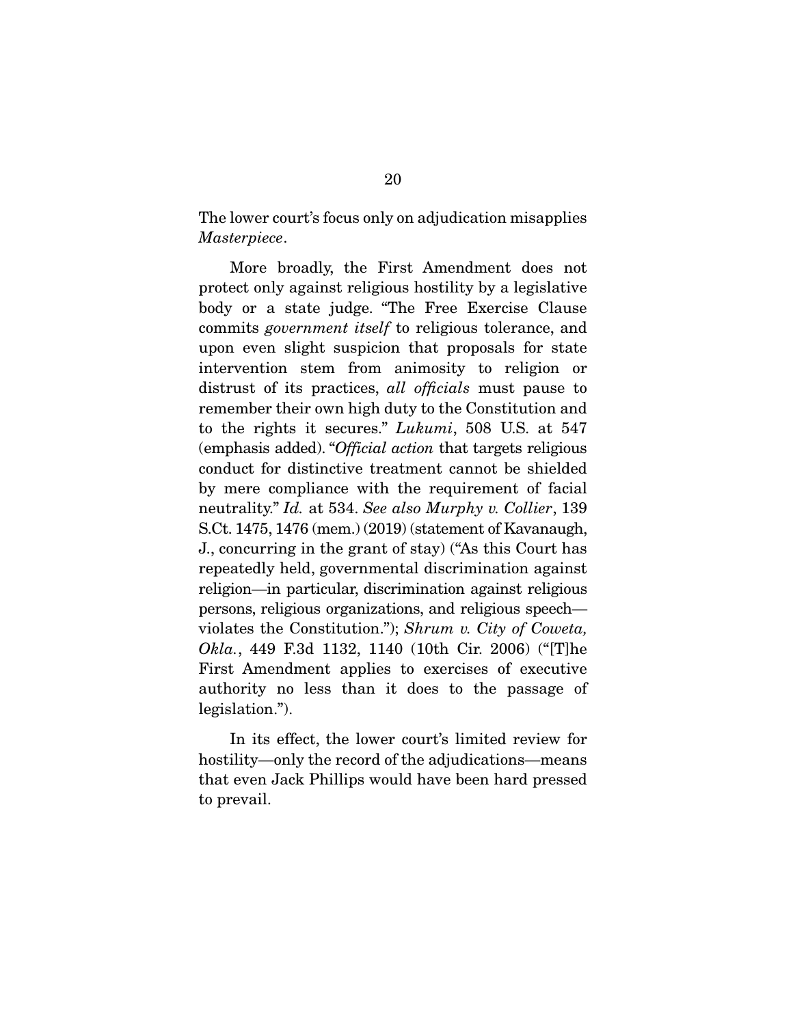The lower court's focus only on adjudication misapplies *Masterpiece*.

 More broadly, the First Amendment does not protect only against religious hostility by a legislative body or a state judge. "The Free Exercise Clause commits *government itself* to religious tolerance, and upon even slight suspicion that proposals for state intervention stem from animosity to religion or distrust of its practices, *all officials* must pause to remember their own high duty to the Constitution and to the rights it secures." *Lukumi*, 508 U.S. at 547 (emphasis added). "*Official action* that targets religious conduct for distinctive treatment cannot be shielded by mere compliance with the requirement of facial neutrality." *Id.* at 534. *See also Murphy v. Collier*, 139 S.Ct. 1475, 1476 (mem.) (2019) (statement of Kavanaugh, J., concurring in the grant of stay) ("As this Court has repeatedly held, governmental discrimination against religion—in particular, discrimination against religious persons, religious organizations, and religious speech violates the Constitution."); *Shrum v. City of Coweta, Okla.*, 449 F.3d 1132, 1140 (10th Cir. 2006) ("[T]he First Amendment applies to exercises of executive authority no less than it does to the passage of legislation.").

 In its effect, the lower court's limited review for hostility—only the record of the adjudications—means that even Jack Phillips would have been hard pressed to prevail.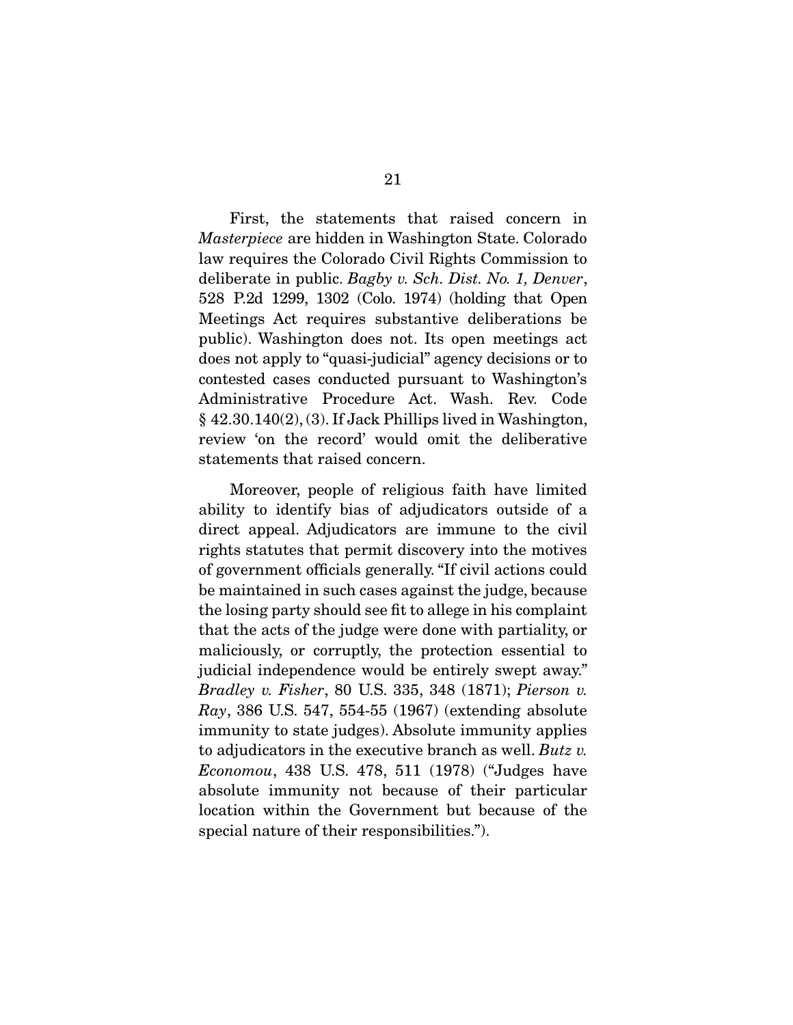First, the statements that raised concern in *Masterpiece* are hidden in Washington State. Colorado law requires the Colorado Civil Rights Commission to deliberate in public. *Bagby v. Sch. Dist. No. 1, Denver*, 528 P.2d 1299, 1302 (Colo. 1974) (holding that Open Meetings Act requires substantive deliberations be public). Washington does not. Its open meetings act does not apply to "quasi-judicial" agency decisions or to contested cases conducted pursuant to Washington's Administrative Procedure Act. Wash. Rev. Code § 42.30.140(2), (3). If Jack Phillips lived in Washington, review 'on the record' would omit the deliberative statements that raised concern.

 Moreover, people of religious faith have limited ability to identify bias of adjudicators outside of a direct appeal. Adjudicators are immune to the civil rights statutes that permit discovery into the motives of government officials generally. "If civil actions could be maintained in such cases against the judge, because the losing party should see fit to allege in his complaint that the acts of the judge were done with partiality, or maliciously, or corruptly, the protection essential to judicial independence would be entirely swept away." *Bradley v. Fisher*, 80 U.S. 335, 348 (1871); *Pierson v. Ray*, 386 U.S. 547, 554-55 (1967) (extending absolute immunity to state judges). Absolute immunity applies to adjudicators in the executive branch as well. *Butz v. Economou*, 438 U.S. 478, 511 (1978) ("Judges have absolute immunity not because of their particular location within the Government but because of the special nature of their responsibilities.").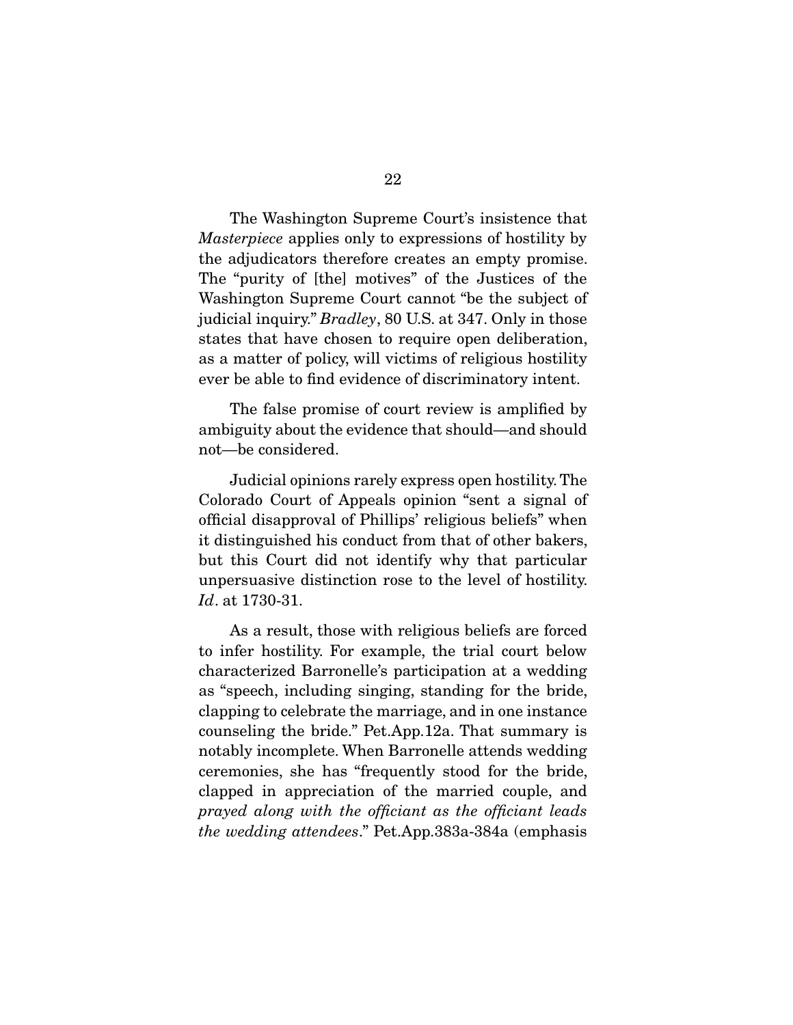The Washington Supreme Court's insistence that *Masterpiece* applies only to expressions of hostility by the adjudicators therefore creates an empty promise. The "purity of [the] motives" of the Justices of the Washington Supreme Court cannot "be the subject of judicial inquiry." *Bradley*, 80 U.S. at 347. Only in those states that have chosen to require open deliberation, as a matter of policy, will victims of religious hostility ever be able to find evidence of discriminatory intent.

 The false promise of court review is amplified by ambiguity about the evidence that should—and should not—be considered.

 Judicial opinions rarely express open hostility. The Colorado Court of Appeals opinion "sent a signal of official disapproval of Phillips' religious beliefs" when it distinguished his conduct from that of other bakers, but this Court did not identify why that particular unpersuasive distinction rose to the level of hostility. *Id*. at 1730-31.

 As a result, those with religious beliefs are forced to infer hostility. For example, the trial court below characterized Barronelle's participation at a wedding as "speech, including singing, standing for the bride, clapping to celebrate the marriage, and in one instance counseling the bride." Pet.App.12a. That summary is notably incomplete. When Barronelle attends wedding ceremonies, she has "frequently stood for the bride, clapped in appreciation of the married couple, and *prayed along with the officiant as the officiant leads the wedding attendees*." Pet.App.383a-384a (emphasis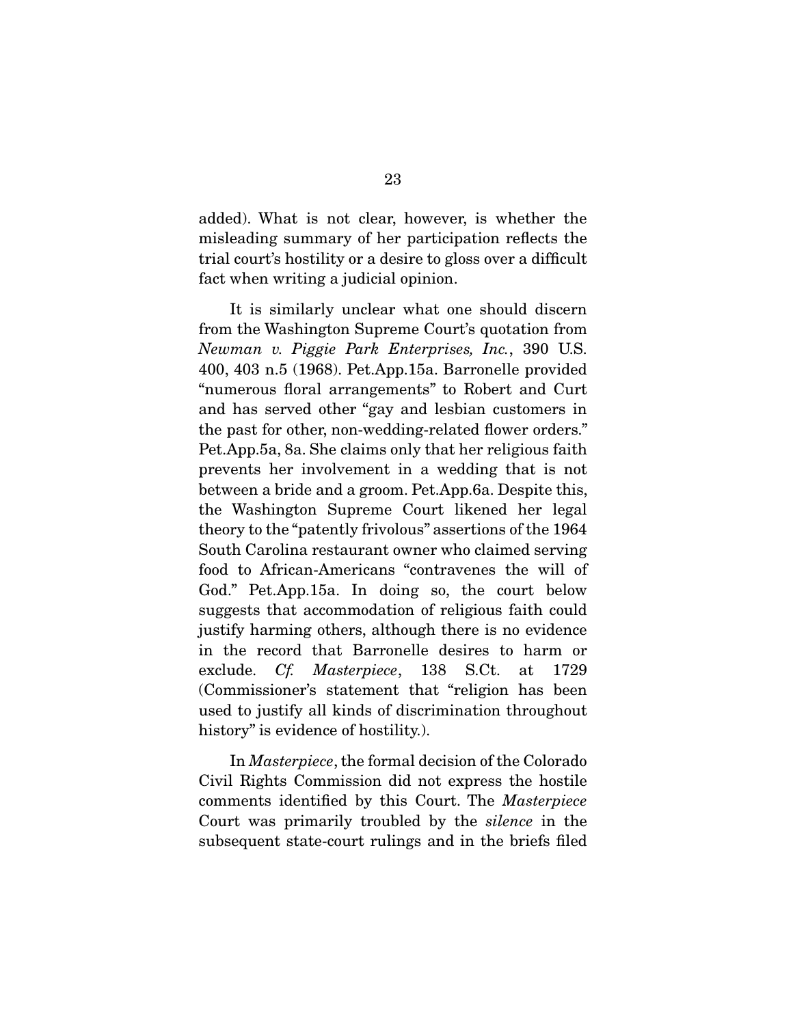added). What is not clear, however, is whether the misleading summary of her participation reflects the trial court's hostility or a desire to gloss over a difficult fact when writing a judicial opinion.

 It is similarly unclear what one should discern from the Washington Supreme Court's quotation from *Newman v. Piggie Park Enterprises, Inc.*, 390 U.S. 400, 403 n.5 (1968). Pet.App.15a. Barronelle provided "numerous floral arrangements" to Robert and Curt and has served other "gay and lesbian customers in the past for other, non-wedding-related flower orders." Pet.App.5a, 8a. She claims only that her religious faith prevents her involvement in a wedding that is not between a bride and a groom. Pet.App.6a. Despite this, the Washington Supreme Court likened her legal theory to the "patently frivolous" assertions of the 1964 South Carolina restaurant owner who claimed serving food to African-Americans "contravenes the will of God." Pet.App.15a. In doing so, the court below suggests that accommodation of religious faith could justify harming others, although there is no evidence in the record that Barronelle desires to harm or exclude. *Cf. Masterpiece*, 138 S.Ct. at 1729 (Commissioner's statement that "religion has been used to justify all kinds of discrimination throughout history" is evidence of hostility.

 In *Masterpiece*, the formal decision of the Colorado Civil Rights Commission did not express the hostile comments identified by this Court. The *Masterpiece*  Court was primarily troubled by the *silence* in the subsequent state-court rulings and in the briefs filed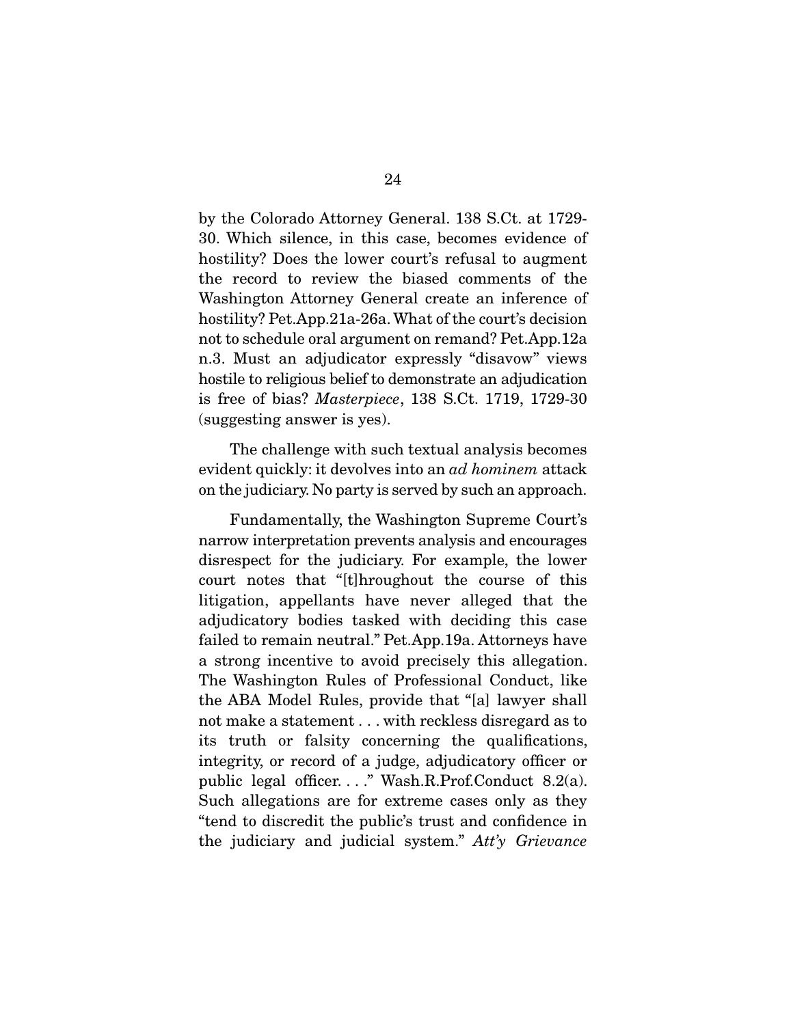by the Colorado Attorney General. 138 S.Ct. at 1729- 30. Which silence, in this case, becomes evidence of hostility? Does the lower court's refusal to augment the record to review the biased comments of the Washington Attorney General create an inference of hostility? Pet.App.21a-26a. What of the court's decision not to schedule oral argument on remand? Pet.App.12a n.3. Must an adjudicator expressly "disavow" views hostile to religious belief to demonstrate an adjudication is free of bias? *Masterpiece*, 138 S.Ct. 1719, 1729-30 (suggesting answer is yes).

 The challenge with such textual analysis becomes evident quickly: it devolves into an *ad hominem* attack on the judiciary. No party is served by such an approach.

 Fundamentally, the Washington Supreme Court's narrow interpretation prevents analysis and encourages disrespect for the judiciary. For example, the lower court notes that "[t]hroughout the course of this litigation, appellants have never alleged that the adjudicatory bodies tasked with deciding this case failed to remain neutral." Pet.App.19a. Attorneys have a strong incentive to avoid precisely this allegation. The Washington Rules of Professional Conduct, like the ABA Model Rules, provide that "[a] lawyer shall not make a statement . . . with reckless disregard as to its truth or falsity concerning the qualifications, integrity, or record of a judge, adjudicatory officer or public legal officer. . . ." Wash.R.Prof.Conduct 8.2(a). Such allegations are for extreme cases only as they "tend to discredit the public's trust and confidence in the judiciary and judicial system." *Att'y Grievance*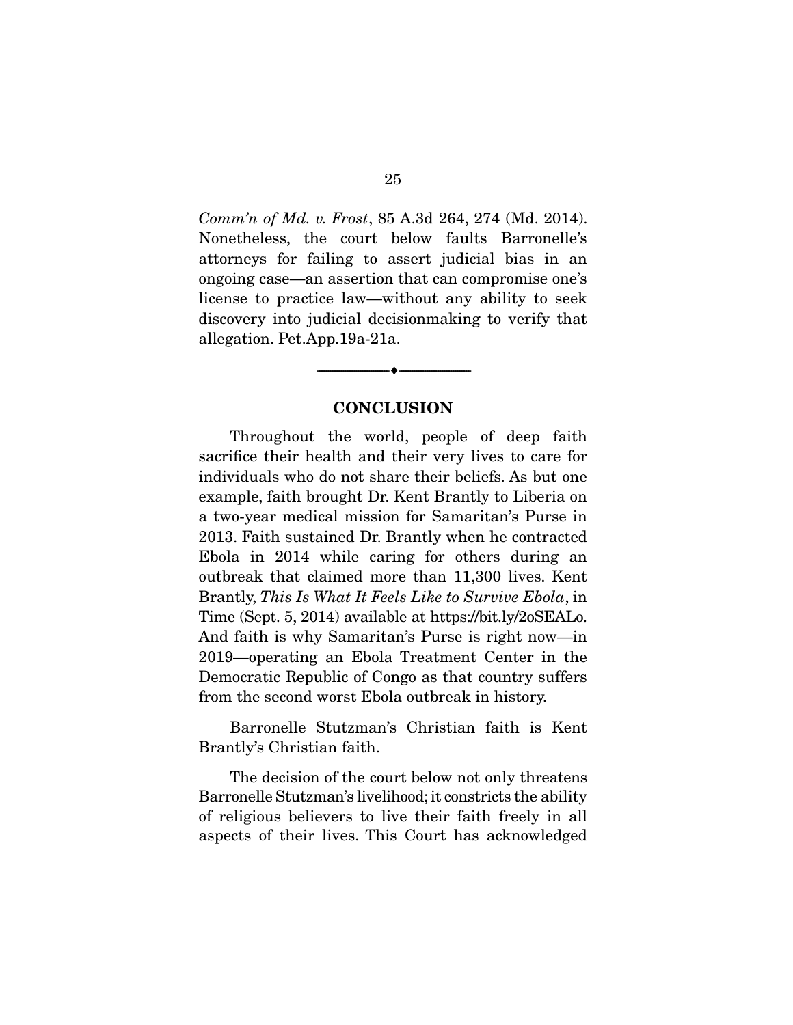*Comm'n of Md. v. Frost*, 85 A.3d 264, 274 (Md. 2014). Nonetheless, the court below faults Barronelle's attorneys for failing to assert judicial bias in an ongoing case—an assertion that can compromise one's license to practice law—without any ability to seek discovery into judicial decisionmaking to verify that allegation. Pet.App.19a-21a.

#### **CONCLUSION**

--------------------------------- ---------------------------------

Throughout the world, people of deep faith sacrifice their health and their very lives to care for individuals who do not share their beliefs. As but one example, faith brought Dr. Kent Brantly to Liberia on a two-year medical mission for Samaritan's Purse in 2013. Faith sustained Dr. Brantly when he contracted Ebola in 2014 while caring for others during an outbreak that claimed more than 11,300 lives. Kent Brantly, *This Is What It Feels Like to Survive Ebola*, in Time (Sept. 5, 2014) available at https://bit.ly/2oSEALo. And faith is why Samaritan's Purse is right now—in 2019—operating an Ebola Treatment Center in the Democratic Republic of Congo as that country suffers from the second worst Ebola outbreak in history.

 Barronelle Stutzman's Christian faith is Kent Brantly's Christian faith.

 The decision of the court below not only threatens Barronelle Stutzman's livelihood; it constricts the ability of religious believers to live their faith freely in all aspects of their lives. This Court has acknowledged